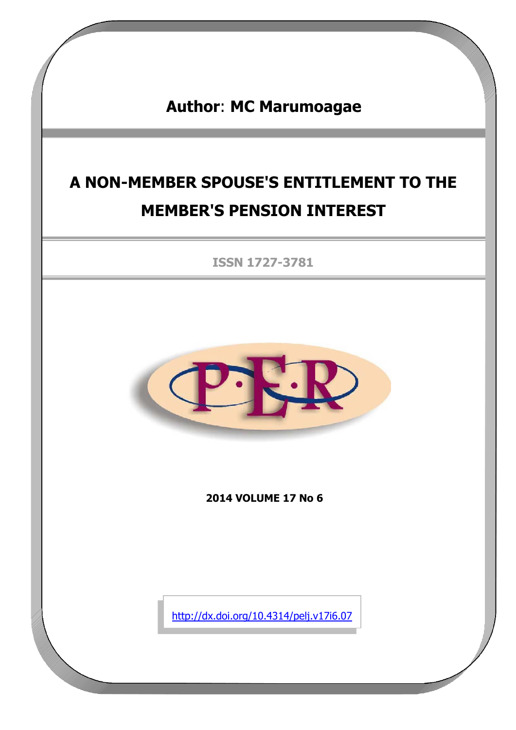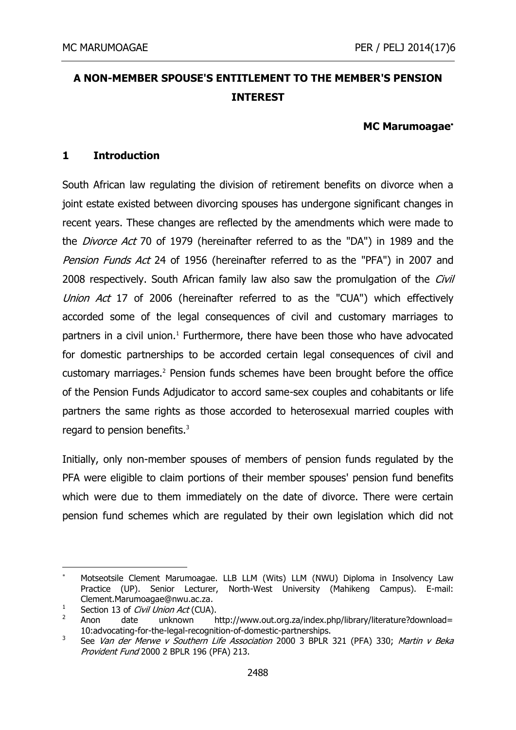# **A NON-MEMBER SPOUSE'S ENTITLEMENT TO THE MEMBER'S PENSION INTEREST**

### **MC Marumoagae**

### **1 Introduction**

South African law regulating the division of retirement benefits on divorce when a joint estate existed between divorcing spouses has undergone significant changes in recent years. These changes are reflected by the amendments which were made to the *Divorce Act* 70 of 1979 (hereinafter referred to as the "DA") in 1989 and the Pension Funds Act 24 of 1956 (hereinafter referred to as the "PFA") in 2007 and 2008 respectively. South African family law also saw the promulgation of the Civil Union Act 17 of 2006 (hereinafter referred to as the "CUA") which effectively accorded some of the legal consequences of civil and customary marriages to partners in a civil union.<sup>1</sup> Furthermore, there have been those who have advocated for domestic partnerships to be accorded certain legal consequences of civil and customary marriages.<sup>2</sup> Pension funds schemes have been brought before the office of the Pension Funds Adjudicator to accord same-sex couples and cohabitants or life partners the same rights as those accorded to heterosexual married couples with regard to pension benefits.<sup>3</sup>

Initially, only non-member spouses of members of pension funds regulated by the PFA were eligible to claim portions of their member spouses' pension fund benefits which were due to them immediately on the date of divorce. There were certain pension fund schemes which are regulated by their own legislation which did not

<sup>-</sup> Motseotsile Clement Marumoagae. LLB LLM (Wits) LLM (NWU) Diploma in Insolvency Law Practice (UP). Senior Lecturer, North-West University (Mahikeng Campus). E-mail: Clement.Marumoagae@nwu.ac.za.

<sup>1</sup> Section 13 of Civil Union Act (CUA).

<sup>2</sup> Anon date unknown http://www.out.org.za/index.php/library/literature?download= 10:advocating-for-the-legal-recognition-of-domestic-partnerships.

<sup>3</sup> See Van der Merwe v Southern Life Association 2000 3 BPLR 321 (PFA) 330; Martin v Beka Provident Fund 2000 2 BPLR 196 (PFA) 213.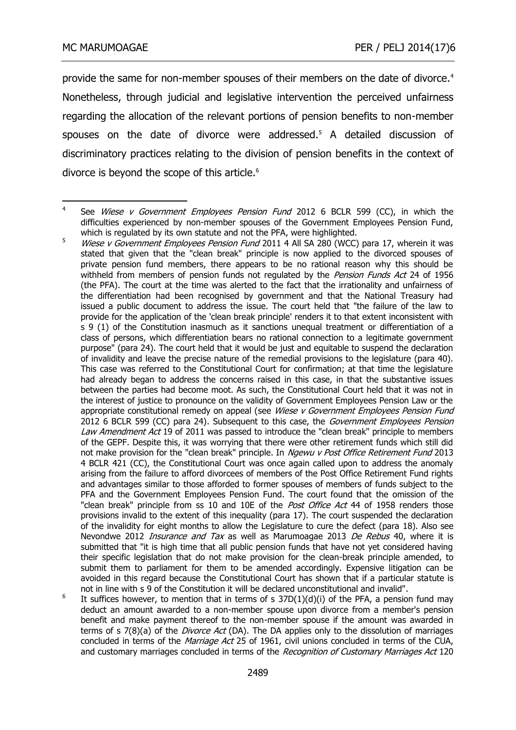provide the same for non-member spouses of their members on the date of divorce.<sup>4</sup> Nonetheless, through judicial and legislative intervention the perceived unfairness regarding the allocation of the relevant portions of pension benefits to non-member spouses on the date of divorce were addressed.<sup>5</sup> A detailed discussion of discriminatory practices relating to the division of pension benefits in the context of divorce is beyond the scope of this article.<sup>6</sup>

ــ<br>4 See Wiese v Government Employees Pension Fund 2012 6 BCLR 599 (CC), in which the difficulties experienced by non-member spouses of the Government Employees Pension Fund, which is regulated by its own statute and not the PFA, were highlighted.

 $5$  Wiese v Government Employees Pension Fund 2011 4 All SA 280 (WCC) para 17, wherein it was stated that given that the "clean break" principle is now applied to the divorced spouses of private pension fund members, there appears to be no rational reason why this should be withheld from members of pension funds not regulated by the *Pension Funds Act* 24 of 1956 (the PFA). The court at the time was alerted to the fact that the irrationality and unfairness of the differentiation had been recognised by government and that the National Treasury had issued a public document to address the issue. The court held that "the failure of the law to provide for the application of the 'clean break principle' renders it to that extent inconsistent with s 9 (1) of the Constitution inasmuch as it sanctions unequal treatment or differentiation of a class of persons, which differentiation bears no rational connection to a legitimate government purpose" (para 24). The court held that it would be just and equitable to suspend the declaration of invalidity and leave the precise nature of the remedial provisions to the legislature (para 40). This case was referred to the Constitutional Court for confirmation; at that time the legislature had already began to address the concerns raised in this case, in that the substantive issues between the parties had become moot. As such, the Constitutional Court held that it was not in the interest of justice to pronounce on the validity of Government Employees Pension Law or the appropriate constitutional remedy on appeal (see Wiese v Government Employees Pension Fund 2012 6 BCLR 599 (CC) para 24). Subsequent to this case, the Government Employees Pension Law Amendment Act 19 of 2011 was passed to introduce the "clean break" principle to members of the GEPF. Despite this, it was worrying that there were other retirement funds which still did not make provision for the "clean break" principle. In Ngewu v Post Office Retirement Fund 2013 4 BCLR 421 (CC), the Constitutional Court was once again called upon to address the anomaly arising from the failure to afford divorcees of members of the Post Office Retirement Fund rights and advantages similar to those afforded to former spouses of members of funds subject to the PFA and the Government Employees Pension Fund. The court found that the omission of the "clean break" principle from ss 10 and 10E of the Post Office Act 44 of 1958 renders those provisions invalid to the extent of this inequality (para 17). The court suspended the declaration of the invalidity for eight months to allow the Legislature to cure the defect (para 18). Also see Nevondwe 2012 *Insurance and Tax* as well as Marumoagae 2013 De Rebus 40, where it is submitted that "it is high time that all public pension funds that have not yet considered having their specific legislation that do not make provision for the clean-break principle amended, to submit them to parliament for them to be amended accordingly. Expensive litigation can be avoided in this regard because the Constitutional Court has shown that if a particular statute is not in line with s 9 of the Constitution it will be declared unconstitutional and invalid".

<sup>6</sup> It suffices however, to mention that in terms of  $s$  37D(1)(d)(i) of the PFA, a pension fund may deduct an amount awarded to a non-member spouse upon divorce from a member's pension benefit and make payment thereof to the non-member spouse if the amount was awarded in terms of s 7(8)(a) of the *Divorce Act* (DA). The DA applies only to the dissolution of marriages concluded in terms of the Marriage Act 25 of 1961, civil unions concluded in terms of the CUA, and customary marriages concluded in terms of the Recognition of Customary Marriages Act 120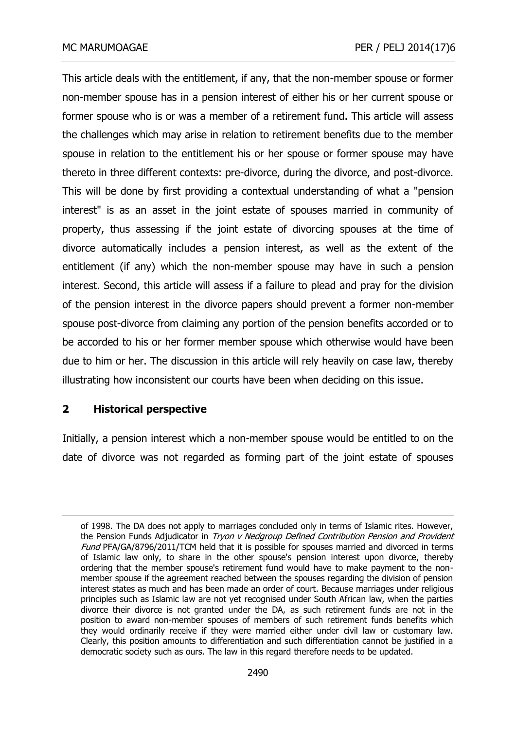This article deals with the entitlement, if any, that the non-member spouse or former non-member spouse has in a pension interest of either his or her current spouse or former spouse who is or was a member of a retirement fund. This article will assess the challenges which may arise in relation to retirement benefits due to the member spouse in relation to the entitlement his or her spouse or former spouse may have thereto in three different contexts: pre-divorce, during the divorce, and post-divorce. This will be done by first providing a contextual understanding of what a "pension interest" is as an asset in the joint estate of spouses married in community of property, thus assessing if the joint estate of divorcing spouses at the time of divorce automatically includes a pension interest, as well as the extent of the entitlement (if any) which the non-member spouse may have in such a pension interest. Second, this article will assess if a failure to plead and pray for the division of the pension interest in the divorce papers should prevent a former non-member spouse post-divorce from claiming any portion of the pension benefits accorded or to be accorded to his or her former member spouse which otherwise would have been due to him or her. The discussion in this article will rely heavily on case law, thereby illustrating how inconsistent our courts have been when deciding on this issue.

### **2 Historical perspective**

-

Initially, a pension interest which a non-member spouse would be entitled to on the date of divorce was not regarded as forming part of the joint estate of spouses

of 1998. The DA does not apply to marriages concluded only in terms of Islamic rites. However, the Pension Funds Adjudicator in Tryon v Nedgroup Defined Contribution Pension and Provident Fund PFA/GA/8796/2011/TCM held that it is possible for spouses married and divorced in terms of Islamic law only, to share in the other spouse's pension interest upon divorce, thereby ordering that the member spouse's retirement fund would have to make payment to the nonmember spouse if the agreement reached between the spouses regarding the division of pension interest states as much and has been made an order of court. Because marriages under religious principles such as Islamic law are not yet recognised under South African law, when the parties divorce their divorce is not granted under the DA, as such retirement funds are not in the position to award non-member spouses of members of such retirement funds benefits which they would ordinarily receive if they were married either under civil law or customary law. Clearly, this position amounts to differentiation and such differentiation cannot be justified in a democratic society such as ours. The law in this regard therefore needs to be updated.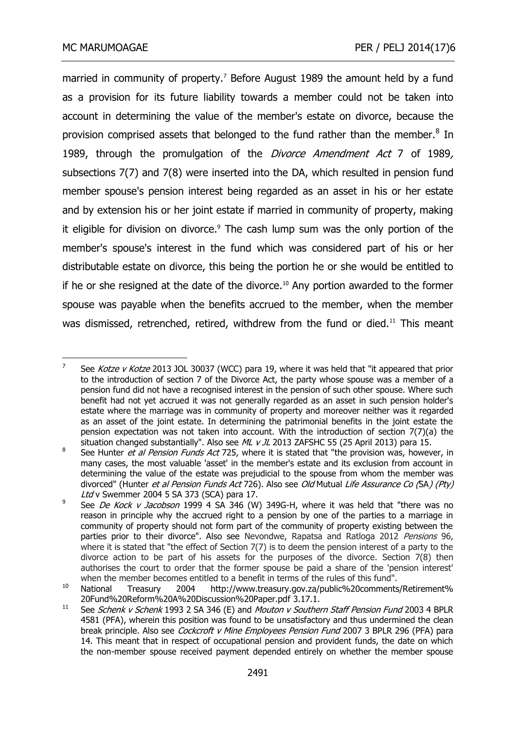married in community of property.<sup>7</sup> Before August 1989 the amount held by a fund as a provision for its future liability towards a member could not be taken into account in determining the value of the member's estate on divorce, because the provision comprised assets that belonged to the fund rather than the member. $8$  In 1989, through the promulgation of the *[Divorce Amendment Act](http://www.concerningdivorce.com/divorce-amendment-act-7-of-1989-todays-trustee-statutory-frameword-of-retirement-funds.html)* 7 of 1989, [subsections 7\(7\) and 7\(8\) were inserted into the DA, which resulted in](http://www.concerningdivorce.com/divorce-amendment-act-7-of-1989-todays-trustee-statutory-frameword-of-retirement-funds.html) pension fund member spouse's pension interest being regarded as an asset in his or her estate and by extension his or her joint estate if married in community of property, making it eligible for division on divorce.<sup>9</sup> The cash lump sum was the only portion of the member's spouse's interest in the fund which was considered part of his or her distributable estate on divorce, this being the portion he or she would be entitled to if he or she resigned at the date of the divorce. $10$  Any portion awarded to the former spouse was payable when the benefits accrued to the member, when the member was dismissed, retrenched, retired, withdrew from the fund or died.<sup>11</sup> This meant

<sup>—&</sup>lt;br>7 See Kotze v Kotze 2013 JOL 30037 (WCC) para 19, where it was held that "it appeared that prior to the introduction of section 7 of the Divorce Act, the party whose spouse was a member of a pension fund did not have a recognised interest in the pension of such other spouse. Where such benefit had not yet accrued it was not generally regarded as an asset in such pension holder's estate where the marriage was in community of property and moreover neither was it regarded as an asset of the joint estate. In determining the patrimonial benefits in the joint estate the pension expectation was not taken into account. With the introduction of section 7(7)(a) the situation changed substantially". Also see  $ML$  v  $IL$  2013 ZAFSHC 55 (25 April 2013) para 15.

<sup>8</sup> See Hunter et al Pension Funds Act 725, where it is stated that "the provision was, however, in many cases, the most valuable 'asset' in the member's estate and its exclusion from account in determining the value of the estate was prejudicial to the spouse from whom the member was divorced" (Hunter et al Pension Funds Act 726). Also see Old Mutual Life Assurance Co (SA) (Pty) Ltd v Swemmer 2004 5 SA 373 (SCA) para 17.

<sup>9</sup> See De Kock v Jacobson 1999 4 SA 346 (W) 349G-H, where it was held that "there was no reason in principle why the accrued right to a pension by one of the parties to a marriage in community of property should not form part of the community of property existing between the parties prior to their divorce". Also see Nevondwe, Rapatsa and Ratloga 2012 Pensions 96, where it is stated that "the effect of Section 7(7) is to deem the pension interest of a party to the divorce action to be part of his assets for the purposes of the divorce. Section 7(8) then authorises the court to order that the former spouse be paid a share of the 'pension interest' when the member becomes entitled to a benefit in terms of the rules of this fund".

<sup>10</sup> National Treasury 2004 http://www.treasury.gov.za/public%20comments/Retirement% 20Fund%20Reform%20A%20Discussion%20Paper.pdf 3.17.1.

<sup>11</sup> See Schenk v Schenk 1993 2 SA 346 (E) and Mouton v Southern Staff Pension Fund 2003 4 BPLR 4581 (PFA), wherein this position was found to be unsatisfactory and thus undermined the clean break principle. Also see Cockcroft v Mine Employees Pension Fund 2007 3 BPLR 296 (PFA) para 14. This meant that in respect of occupational pension and provident funds, the date on which the non-member spouse received payment depended entirely on whether the member spouse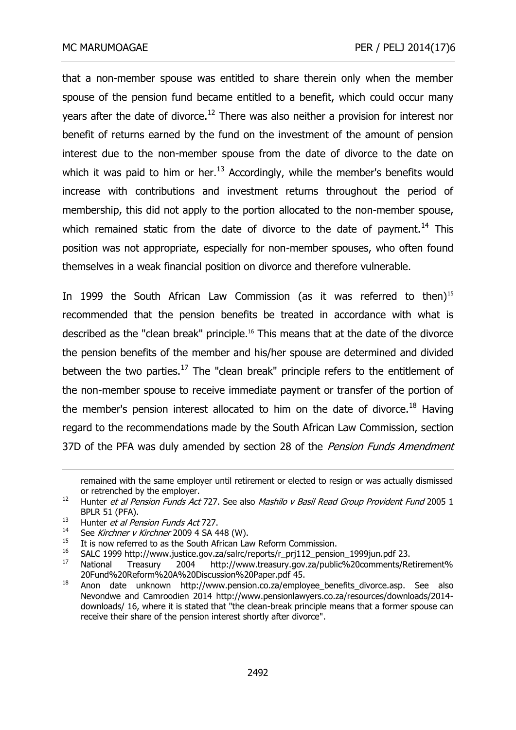that a non-member spouse was entitled to share therein only when the member spouse of the pension fund became entitled to a benefit, which could occur many years after the date of divorce.<sup>12</sup> There was also neither a provision for interest nor benefit of returns earned by the fund on the investment of the amount of pension interest due to the non-member spouse from the date of divorce to the date on which it was paid to him or her. $^{13}$  Accordingly, while the member's benefits would increase with contributions and investment returns throughout the period of membership, this did not apply to the portion allocated to the non-member spouse, which remained static from the date of divorce to the date of payment.<sup>14</sup> This position was not appropriate, especially for non-member spouses, who often found themselves in a weak financial position on divorce and therefore vulnerable.

In 1999 the South African Law Commission (as it was referred to then)<sup>15</sup> recommended that the pension benefits be treated in accordance with what is described as the "clean break" principle.<sup>16</sup> This means that at the date of the divorce the pension benefits of the member and his/her spouse are determined and divided between the two parties.<sup>17</sup> The "clean break" principle refers to the entitlement of the non-member spouse to receive immediate payment or transfer of the portion of the member's pension interest allocated to him on the date of divorce.<sup>18</sup> Having regard to the recommendations made by the South African Law Commission, section 37D of the PFA was duly amended by section 28 of the Pension Funds Amendment

remained with the same employer until retirement or elected to resign or was actually dismissed or retrenched by the employer.

 $12$  Hunter *et al Pension Funds Act* 727. See also *Mashilo v Basil Read Group Provident Fund* 2005 1 BPLR 51 (PFA).

<sup>&</sup>lt;sup>13</sup> Hunter *et al Pension Funds Act* 727.

<sup>&</sup>lt;sup>14</sup> See Kirchner v Kirchner 2009 4 SA 448 (W).

<sup>&</sup>lt;sup>15</sup> It is now referred to as the South African Law Reform Commission.

<sup>16</sup> SALC 1999 http://www.justice.gov.za/salrc/reports/r\_prj112\_pension\_1999jun.pdf 23.<br>17 National Treasury 2004 http://www.treasury.gov.za/public%20comments/Be

<sup>17</sup> National Treasury 2004 http://www.treasury.gov.za/public%20comments/Retirement% 20Fund%20Reform%20A%20Discussion%20Paper.pdf 45.

<sup>18</sup> Anon date unknown http://www.pension.co.za/employee\_benefits\_divorce.asp. See also Nevondwe and Camroodien 2014 http://www.pensionlawyers.co.za/resources/downloads/2014 downloads/ 16, where it is stated that "the clean-break principle means that a former spouse can receive their share of the pension interest shortly after divorce".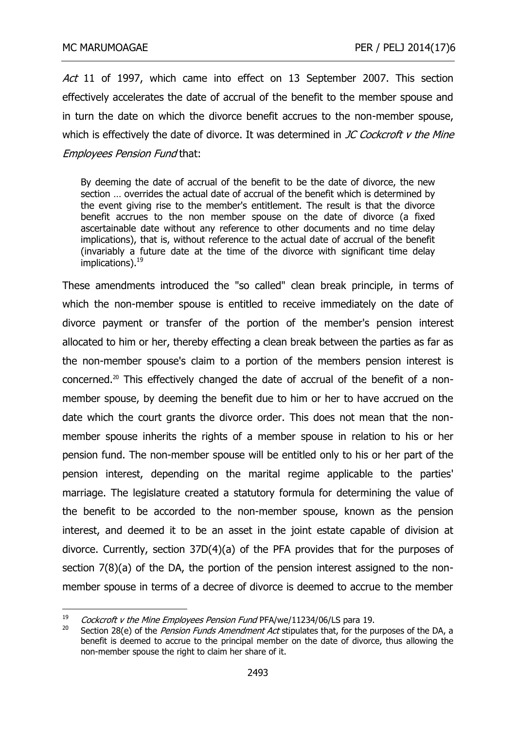Act 11 of 1997, which came into effect on 13 September 2007. This section effectively accelerates the date of accrual of the benefit to the member spouse and in turn the date on which the divorce benefit accrues to the non-member spouse, which is effectively the date of divorce. It was determined in  $JC$  Cockcroft  $v$  the Mine Employees Pension Fund that:

By deeming the date of accrual of the benefit to be the date of divorce, the new section … overrides the actual date of accrual of the benefit which is determined by the event giving rise to the member's entitlement. The result is that the divorce benefit accrues to the non member spouse on the date of divorce (a fixed ascertainable date without any reference to other documents and no time delay implications), that is, without reference to the actual date of accrual of the benefit (invariably a future date at the time of the divorce with significant time delay implications).<sup>19</sup>

[These amendments introduced the "so called"](http://www.google.co.za/url?sa=t&rct=j&q=&esrc=s&frm=1&source=web&cd=6&cad=rja&ved=0CFoQFjAF&url=http%3A%2F%2Fwww.saflii.org%2Fza%2Flegis%2Fnum_act%2Fpfaa2007245.pdf&ei=ChNqUvTHK9OThgeumoCYBw&usg=AFQjCNESnZLqO1xeQC-Axcb5e8EYGqSaPw&sig2=pOCD4OqkITpjg5HnfUnA8Q&bvm=bv.55123115,d.Yms) clean break principle, in terms of [which t](http://www.google.co.za/url?sa=t&rct=j&q=&esrc=s&frm=1&source=web&cd=6&cad=rja&ved=0CFoQFjAF&url=http%3A%2F%2Fwww.saflii.org%2Fza%2Flegis%2Fnum_act%2Fpfaa2007245.pdf&ei=ChNqUvTHK9OThgeumoCYBw&usg=AFQjCNESnZLqO1xeQC-Axcb5e8EYGqSaPw&sig2=pOCD4OqkITpjg5HnfUnA8Q&bvm=bv.55123115,d.Yms)he non-member spouse is entitled to receive immediately on the date of divorce payment or transfer of the portion of the member's pension interest allocated to him or her, thereby effecting a clean break between the parties as far as the non-member spouse's claim to a portion of the members pension interest is concerned.<sup>20</sup> This effectively changed the date of accrual of the benefit of a nonmember spouse, by deeming the benefit due to him or her to have accrued on the date which the court grants the divorce order. This does not mean that the nonmember spouse inherits the rights of a member spouse in relation to his or her pension fund. The non-member spouse will be entitled only to his or her part of the pension interest, depending on the marital regime applicable to the parties' marriage. The legislature created a statutory formula for determining the value of the benefit to be accorded to the non-member spouse, known as the pension interest, and deemed it to be an asset in the joint estate capable of division at divorce. Currently, section 37D(4)(a) of the PFA provides that for the purposes of section 7(8)(a) of the DA, the portion of the pension interest assigned to the nonmember spouse in terms of a decree of divorce is deemed to accrue to the member

<sup>19</sup> <sup>19</sup> Cockcroft v the Mine Employees Pension Fund PFA/we/11234/06/LS para 19.

Section 28(e) of the Pension Funds Amendment Act stipulates that, for the purposes of the DA, a benefit is deemed to accrue to the principal member on the date of divorce, thus allowing the non-member spouse the right to claim her share of it.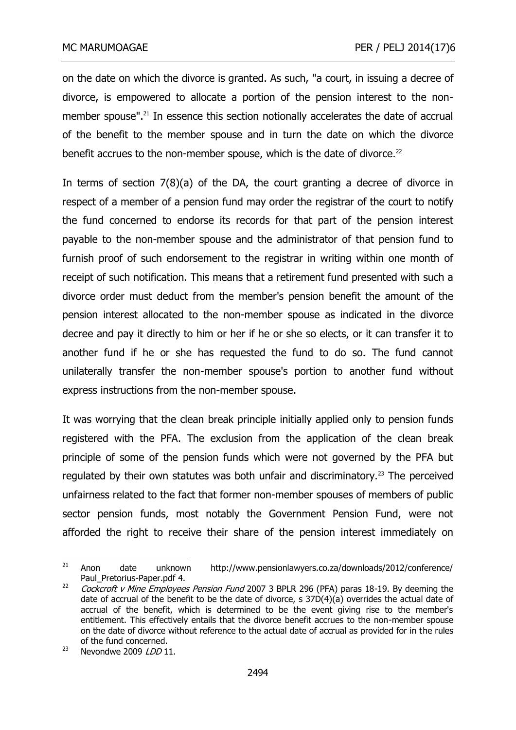on the date on which the divorce is granted. As such, "a court, in issuing a decree of divorce, is empowered to allocate a portion of the pension interest to the nonmember spouse". <sup>21</sup> In essence this section notionally accelerates the date of accrual of the benefit to the member spouse and in turn the date on which the divorce benefit accrues to the non-member spouse, which is the date of divorce.<sup>22</sup>

In terms of section 7(8)(a) of the DA, the court granting a decree of divorce in respect of a member of a pension fund may order the registrar of the court to notify the fund concerned to endorse its records for that part of the pension interest payable to the non-member spouse and the administrator of that pension fund to furnish proof of such endorsement to the registrar in writing within one month of receipt of such notification. This means that a retirement fund presented with such a divorce order must deduct from the member's pension benefit the amount of the pension interest allocated to the non-member spouse as indicated in the divorce decree and pay it directly to him or her if he or she so elects, or it can transfer it to another fund if he or she has requested the fund to do so. The fund cannot unilaterally transfer the non-member spouse's portion to another fund without express instructions from the non-member spouse.

It was worrying that the clean break principle initially applied only to pension funds registered with the PFA. The exclusion from the application of the clean break principle of some of the pension funds which were not governed by the PFA but regulated by their own statutes was both unfair and discriminatory.<sup>23</sup> The perceived unfairness related to the fact that former non-member spouses of members of public sector pension funds, most notably the Government Pension Fund, were not afforded the right to receive their share of the pension interest immediately on

 $21$ <sup>21</sup> Anon date unknown http://www.pensionlawyers.co.za/downloads/2012/conference/ Paul\_Pretorius-Paper.pdf 4.

<sup>&</sup>lt;sup>22</sup> Cockcroft v Mine Employees Pension Fund 2007 3 BPLR 296 (PFA) paras 18-19. By deeming the date of accrual of the benefit to be the date of divorce, s 37D(4)(a) overrides the actual date of accrual of the benefit, which is determined to be the event giving rise to the member's entitlement. This effectively entails that the divorce benefit accrues to the non-member spouse on the date of divorce without reference to the actual date of accrual as provided for in the rules of the fund concerned.

<sup>&</sup>lt;sup>23</sup> Nevondwe 2009  $LDD$  11.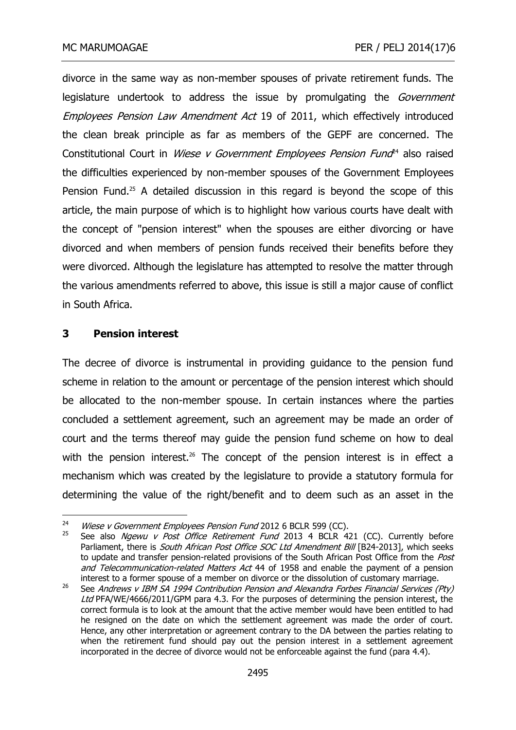divorce in the same way as non-member spouses of private retirement funds. The legislature undertook to address the issue by promulgating the *Government* Employees Pension Law Amendment Act 19 of 2011, which effectively introduced the clean break principle as far as members of the GEPF are concerned. The Constitutional Court in *Wiese v Government Employees Pension Fund*<sup>44</sup> also raised the difficulties experienced by non-member spouses of the Government Employees Pension Fund.<sup>25</sup> A detailed discussion in this regard is beyond the scope of this article, the main purpose of which is to highlight how various courts have dealt with the concept of "pension interest" when the spouses are either divorcing or have divorced and when members of pension funds received their benefits before they were divorced. Although the legislature has attempted to resolve the matter through the various amendments referred to above, this issue is still a major cause of conflict in South Africa.

### **3 Pension interest**

-

The decree of divorce is instrumental in providing guidance to the pension fund scheme in relation to the amount or percentage of the pension interest which should be allocated to the non-member spouse. In certain instances where the parties concluded a settlement agreement, such an agreement may be made an order of court and the terms thereof may guide the pension fund scheme on how to deal with the pension interest.<sup>26</sup> The concept of the pension interest is in effect a mechanism which was created by the legislature to provide a statutory formula for determining the value of the right/benefit and to deem such as an asset in the

<sup>&</sup>lt;sup>24</sup> Wiese v Government Employees Pension Fund 2012 6 BCLR 599 (CC).

See also Ngewu v Post Office Retirement Fund 2013 4 BCLR 421 (CC). Currently before Parliament, there is South African Post Office SOC Ltd Amendment Bill [B24-2013], which seeks to update and transfer pension-related provisions of the South African Post Office from the Post and Telecommunication-related Matters Act 44 of 1958 and enable the payment of a pension interest to a former spouse of a member on divorce or the dissolution of customary marriage.

<sup>26</sup> See Andrews v IBM SA 1994 Contribution Pension and Alexandra Forbes Financial Services (Pty) Ltd PFA/WE/4666/2011/GPM para 4.3. For the purposes of determining the pension interest, the correct formula is to look at the amount that the active member would have been entitled to had he resigned on the date on which the settlement agreement was made the order of court. Hence, any other interpretation or agreement contrary to the DA between the parties relating to when the retirement fund should pay out the pension interest in a settlement agreement incorporated in the decree of divorce would not be enforceable against the fund (para 4.4).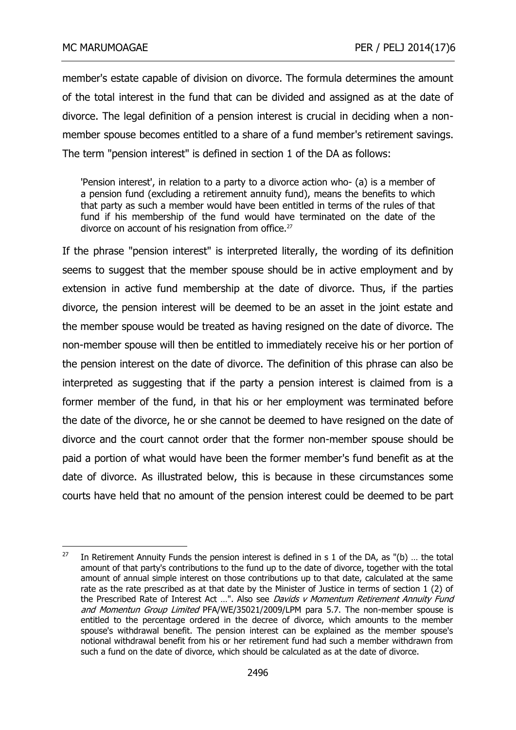member's estate capable of division on divorce. The formula determines the amount of the total interest in the fund that can be divided and assigned as at the date of divorce. The legal definition of a pension interest is crucial in deciding when a nonmember spouse becomes entitled to a share of a fund member's retirement savings. The term "pension interest" is defined in section 1 of the DA as follows:

'Pension interest', in relation to a party to a divorce action who- (a) is a member of a pension fund (excluding a retirement annuity fund), means the benefits to which that party as such a member would have been entitled in terms of the rules of that fund if his membership of the fund would have terminated on the date of the divorce on account of his resignation from office.<sup>27</sup>

If the phrase "pension interest" is interpreted literally, the wording of its definition seems to suggest that the member spouse should be in active employment and by extension in active fund membership at the date of divorce. Thus, if the parties divorce, the pension interest will be deemed to be an asset in the joint estate and the member spouse would be treated as having resigned on the date of divorce. The non-member spouse will then be entitled to immediately receive his or her portion of the pension interest on the date of divorce. The definition of this phrase can also be interpreted as suggesting that if the party a pension interest is claimed from is a former member of the fund, in that his or her employment was terminated before the date of the divorce, he or she cannot be deemed to have resigned on the date of divorce and the court cannot order that the former non-member spouse should be paid a portion of what would have been the former member's fund benefit as at the date of divorce. As illustrated below, this is because in these circumstances some courts have held that no amount of the pension interest could be deemed to be part

 $\frac{1}{27}$  In Retirement Annuity Funds the pension interest is defined in s 1 of the DA, as "(b) … the total amount of that party's contributions to the fund up to the date of divorce, together with the total amount of annual simple interest on those contributions up to that date, calculated at the same rate as the rate prescribed as at that date by the Minister of Justice in terms of section 1 (2) of the Prescribed Rate of Interest Act ...". Also see Davids v Momentum Retirement Annuity Fund and Momentun Group Limited PFA/WE/35021/2009/LPM para 5.7. The non-member spouse is entitled to the percentage ordered in the decree of divorce, which amounts to the member spouse's withdrawal benefit. The pension interest can be explained as the member spouse's notional withdrawal benefit from his or her retirement fund had such a member withdrawn from such a fund on the date of divorce, which should be calculated as at the date of divorce.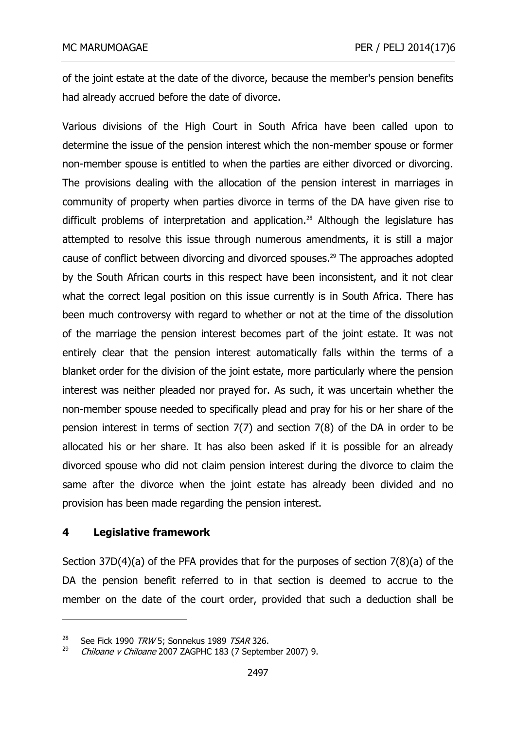of the joint estate at the date of the divorce, because the member's pension benefits had already accrued before the date of divorce.

Various divisions of the High Court in South Africa have been called upon to determine the issue of the pension interest which the non-member spouse or former non-member spouse is entitled to when the parties are either divorced or divorcing. The provisions dealing with the allocation of the pension interest in marriages in community of property when parties divorce in terms of the DA have given rise to difficult problems of interpretation and application.<sup>28</sup> Although the legislature has attempted to resolve this issue through numerous amendments, it is still a major cause of conflict between divorcing and divorced spouses.<sup>29</sup> The approaches adopted by the South African courts in this respect have been inconsistent, and it not clear what the correct legal position on this issue currently is in South Africa. There has been much controversy with regard to whether or not at the time of the dissolution of the marriage the pension interest becomes part of the joint estate. It was not entirely clear that the pension interest automatically falls within the terms of a blanket order for the division of the joint estate, more particularly where the pension interest was neither pleaded nor prayed for. As such, it was uncertain whether the non-member spouse needed to specifically plead and pray for his or her share of the pension interest in terms of section 7(7) and section 7(8) of the DA in order to be allocated his or her share. It has also been asked if it is possible for an already divorced spouse who did not claim pension interest during the divorce to claim the same after the divorce when the joint estate has already been divided and no provision has been made regarding the pension interest.

### **4 Legislative framework**

-

Section 37D(4)(a) of the PFA provides that for the purposes of section 7(8)(a) of the DA the pension benefit referred to in that section is deemed to accrue to the member on the date of the court order, provided that such a deduction shall be

<sup>28</sup> <sup>28</sup> See Fick 1990 TRW 5; Sonnekus 1989 TSAR 326.<br><sup>29</sup> Chiloana v Chiloana 2007 ZACPHC 193 (7 Sontom

<sup>29</sup> Chiloane v Chiloane 2007 ZAGPHC 183 (7 September 2007) 9.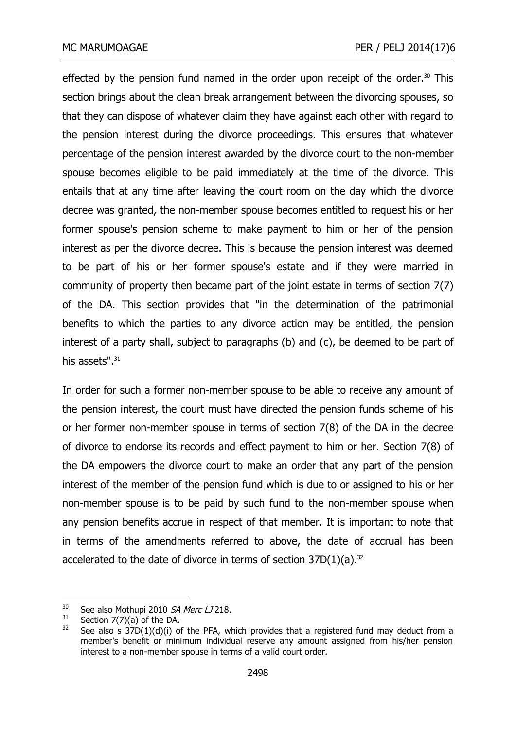effected by the pension fund named in the order upon receipt of the order.<sup>30</sup> This section brings about the clean break arrangement between the divorcing spouses, so that they can dispose of whatever claim they have against each other with regard to the pension interest during the divorce proceedings. This ensures that whatever percentage of the pension interest awarded by the divorce court to the non-member spouse becomes eligible to be paid immediately at the time of the divorce. This entails that at any time after leaving the court room on the day which the divorce decree was granted, the non-member spouse becomes entitled to request his or her former spouse's pension scheme to make payment to him or her of the pension interest as per the divorce decree. This is because the pension interest was deemed to be part of his or her former spouse's estate and if they were married in community of property then became part of the joint estate in terms of section 7(7) of the DA. This section provides that "in the determination of the patrimonial benefits to which the parties to any [divorce](http://www.acts.co.za/divorce-act-1979/divorce_action.php) action may be entitled, the [pension](http://www.acts.co.za/divorce-act-1979/pension_interest.php) [interest](http://www.acts.co.za/divorce-act-1979/pension_interest.php) of a party shall, subject to paragraphs (b) and (c), be deemed to be part of his assets". 31

In order for such a former non-member spouse to be able to receive any amount of the pension interest, the court must have directed the pension funds scheme of his or her former non-member spouse in terms of section 7(8) of the DA in the decree of divorce to endorse its records and effect payment to him or her. Section 7(8) of the DA empowers the divorce court to make an order that any part of the pension interest of the member of the pension fund which is due to or assigned to his or her non-member spouse is to be paid by such fund to the non-member spouse when any pension benefits accrue in respect of that member. It is important to note that in terms of the amendments referred to above, the date of accrual has been accelerated to the date of divorce in terms of section  $37D(1)(a)$ .<sup>32</sup>

<sup>&</sup>lt;sup>30</sup> See also Mothupi 2010 *SA Merc LJ* 218.<br><sup>31</sup> Section 7(7)(a) of the DA

 $^{31}$  Section 7(7)(a) of the DA.<br> $^{32}$  See also s  $^{37}D(1)(d)(i)$  of

See also s  $37D(1)(d)(i)$  of the PFA, which provides that a registered fund may deduct from a member's benefit or minimum individual reserve any amount assigned from his/her pension interest to a non-member spouse in terms of a valid court order.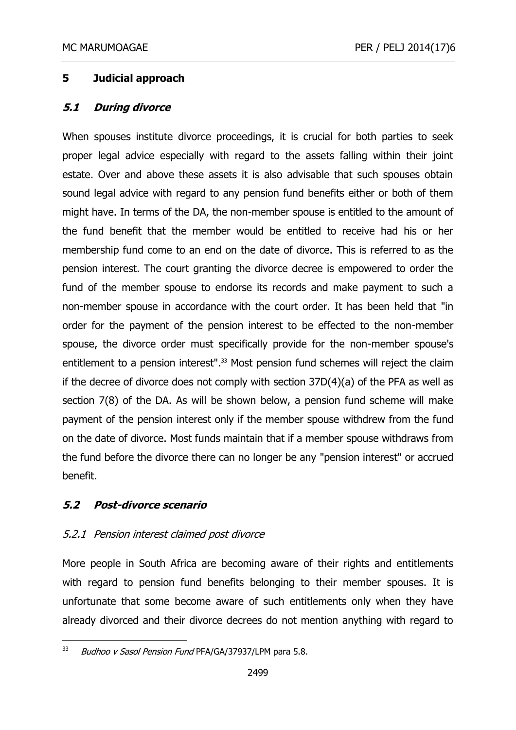# **5 Judicial approach**

## **5.1 During divorce**

When spouses institute divorce proceedings, it is crucial for both parties to seek proper legal advice especially with regard to the assets falling within their joint estate. Over and above these assets it is also advisable that such spouses obtain sound legal advice with regard to any pension fund benefits either or both of them might have. In terms of the DA, the non-member spouse is entitled to the amount of the fund benefit that the member would be entitled to receive had his or her membership fund come to an end on the date of divorce. This is referred to as the pension interest. The court granting the divorce decree is empowered to order the fund of the member spouse to endorse its records and make payment to such a non-member spouse in accordance with the court order. It has been held that "in order for the payment of the pension interest to be effected to the non-member spouse, the divorce order must specifically provide for the non-member spouse's entitlement to a pension interest". <sup>33</sup> Most pension fund schemes will reject the claim if the decree of divorce does not comply with section 37D(4)(a) of the PFA as well as section 7(8) of the DA. As will be shown below, a pension fund scheme will make payment of the pension interest only if the member spouse withdrew from the fund on the date of divorce. Most funds maintain that if a member spouse withdraws from the fund before the divorce there can no longer be any "pension interest" or accrued benefit.

# **5.2 Post-divorce scenario**

# 5.2.1 Pension interest claimed post divorce

More people in South Africa are becoming aware of their rights and entitlements with regard to pension fund benefits belonging to their member spouses. It is unfortunate that some become aware of such entitlements only when they have already divorced and their divorce decrees do not mention anything with regard to

<sup>33</sup> Budhoo v Sasol Pension Fund PFA/GA/37937/LPM para 5.8.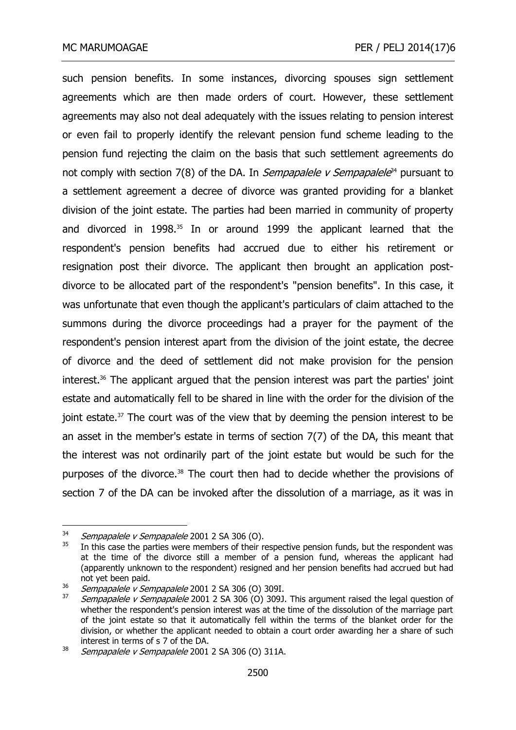such pension benefits. In some instances, divorcing spouses sign settlement agreements which are then made orders of court. However, these settlement agreements may also not deal adequately with the issues relating to pension interest or even fail to properly identify the relevant pension fund scheme leading to the pension fund rejecting the claim on the basis that such settlement agreements do not comply with section 7(8) of the DA. In *Sempapalele v Sempapalele*<sup>34</sup> pursuant to a settlement agreement a decree of divorce was granted providing for a blanket division of the joint estate. The parties had been married in community of property and divorced in 1998.<sup>35</sup> In or around 1999 the applicant learned that the respondent's pension benefits had accrued due to either his retirement or resignation post their divorce. The applicant then brought an application postdivorce to be allocated part of the respondent's "pension benefits". In this case, it was unfortunate that even though the applicant's particulars of claim attached to the summons during the divorce proceedings had a prayer for the payment of the respondent's pension interest apart from the division of the joint estate, the decree of divorce and the deed of settlement did not make provision for the pension interest.<sup>36</sup> The applicant argued that the pension interest was part the parties' joint estate and automatically fell to be shared in line with the order for the division of the joint estate. $37$  The court was of the view that by deeming the pension interest to be an asset in the member's estate in terms of section 7(7) of the DA, this meant that the interest was not ordinarily part of the joint estate but would be such for the purposes of the divorce.<sup>38</sup> The court then had to decide whether the provisions of section 7 of the DA can be invoked after the dissolution of a marriage, as it was in

 $34$  Sempapalele v Sempapalele 2001 2 SA 306 (O).

In this case the parties were members of their respective pension funds, but the respondent was at the time of the divorce still a member of a pension fund, whereas the applicant had (apparently unknown to the respondent) resigned and her pension benefits had accrued but had not yet been paid.

 $\frac{36}{37}$  Sempapalele v Sempapalele 2001 2 SA 306 (O) 309I.

Sempapalele v Sempapalele 2001 2 SA 306 (O) 309J. This argument raised the legal question of whether the respondent's pension interest was at the time of the dissolution of the marriage part of the joint estate so that it automatically fell within the terms of the blanket order for the division, or whether the applicant needed to obtain a court order awarding her a share of such interest in terms of s 7 of the DA.

<sup>&</sup>lt;sup>38</sup> Sempapalele v Sempapalele 2001 2 SA 306 (O) 311A.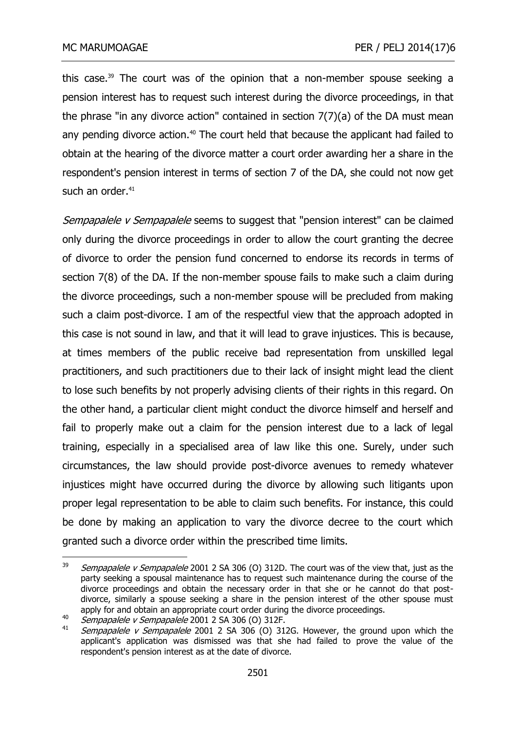this case.<sup>39</sup> The court was of the opinion that a non-member spouse seeking a pension interest has to request such interest during the divorce proceedings, in that the phrase "in any divorce action" contained in section 7(7)(a) of the DA must mean any pending divorce action.<sup>40</sup> The court held that because the applicant had failed to obtain at the hearing of the divorce matter a court order awarding her a share in the respondent's pension interest in terms of section 7 of the DA, she could not now get such an order. $41$ 

Sempapalele v Sempapalele seems to suggest that "pension interest" can be claimed only during the divorce proceedings in order to allow the court granting the decree of divorce to order the pension fund concerned to endorse its records in terms of section 7(8) of the DA. If the non-member spouse fails to make such a claim during the divorce proceedings, such a non-member spouse will be precluded from making such a claim post-divorce. I am of the respectful view that the approach adopted in this case is not sound in law, and that it will lead to grave injustices. This is because, at times members of the public receive bad representation from unskilled legal practitioners, and such practitioners due to their lack of insight might lead the client to lose such benefits by not properly advising clients of their rights in this regard. On the other hand, a particular client might conduct the divorce himself and herself and fail to properly make out a claim for the pension interest due to a lack of legal training, especially in a specialised area of law like this one. Surely, under such circumstances, the law should provide post-divorce avenues to remedy whatever injustices might have occurred during the divorce by allowing such litigants upon proper legal representation to be able to claim such benefits. For instance, this could be done by making an application to vary the divorce decree to the court which granted such a divorce order within the prescribed time limits.

<sup>39</sup> Sempapalele v Sempapalele 2001 2 SA 306 (O) 312D. The court was of the view that, just as the party seeking a spousal maintenance has to request such maintenance during the course of the divorce proceedings and obtain the necessary order in that she or he cannot do that postdivorce, similarly a spouse seeking a share in the pension interest of the other spouse must apply for and obtain an appropriate court order during the divorce proceedings.

<sup>&</sup>lt;sup>40</sup> Sempapalele v Sempapalele 2001 2 SA 306 (O) 312F.

Sempapalele v Sempapalele 2001 2 SA 306 (O) 312G. However, the ground upon which the applicant's application was dismissed was that she had failed to prove the value of the respondent's pension interest as at the date of divorce.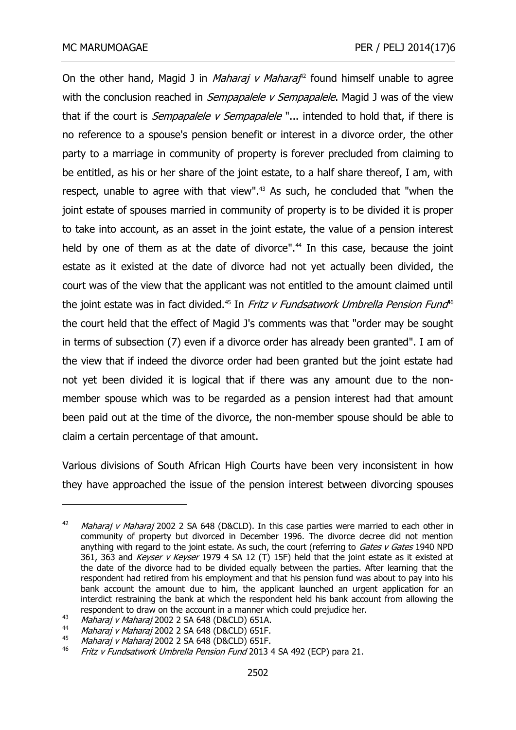On the other hand, Magid J in *Maharaj v Maharaf<sup>12</sup>* found himself unable to agree with the conclusion reached in *Sempapalele v Sempapalele*. Magid J was of the view that if the court is *Sempapalele v Sempapalele* "... intended to hold that, if there is no reference to a spouse's pension benefit or interest in a divorce order, the other party to a marriage in community of property is forever precluded from claiming to be entitled, as his or her share of the joint estate, to a half share thereof, I am, with respect, unable to agree with that view". <sup>43</sup> As such, he concluded that "when the joint estate of spouses married in community of property is to be divided it is proper to take into account, as an asset in the joint estate, the value of a pension interest held by one of them as at the date of divorce". <sup>44</sup> In this case, because the joint estate as it existed at the date of divorce had not yet actually been divided, the court was of the view that the applicant was not entitled to the amount claimed until the joint estate was in fact divided.<sup>45</sup> In *Fritz v Fundsatwork Umbrella Pension Fund*<sup>16</sup> the court held that the effect of Magid J's comments was that "order may be sought in terms of subsection (7) even if a divorce order has already been granted". I am of the view that if indeed the divorce order had been granted but the joint estate had not yet been divided it is logical that if there was any amount due to the nonmember spouse which was to be regarded as a pension interest had that amount been paid out at the time of the divorce, the non-member spouse should be able to claim a certain percentage of that amount.

Various divisions of South African High Courts have been very inconsistent in how they have approached the issue of the pension interest between divorcing spouses

<sup>&</sup>lt;sup>42</sup> Maharaj v Maharaj 2002 2 SA 648 (D&CLD). In this case parties were married to each other in community of property but divorced in December 1996. The divorce decree did not mention anything with regard to the joint estate. As such, the court (referring to Gates  $\nu$  Gates 1940 NPD 361, 363 and Keyser v Keyser 1979 4 SA 12 (T) 15F) held that the joint estate as it existed at the date of the divorce had to be divided equally between the parties. After learning that the respondent had retired from his employment and that his pension fund was about to pay into his bank account the amount due to him, the applicant launched an urgent application for an interdict restraining the bank at which the respondent held his bank account from allowing the respondent to draw on the account in a manner which could prejudice her.

<sup>&</sup>lt;sup>43</sup> *Maharaj v Maharaj* 2002 2 SA 648 (D&CLD) 651A.

Maharaj v Maharaj 2002 2 SA 648 (D&CLD) 651F. 45

<sup>&</sup>lt;sup>45</sup> Maharaj v Maharaj 2002 2 SA 648 (D&CLD) 651F.

Fritz v Fundsatwork Umbrella Pension Fund 2013 4 SA 492 (ECP) para 21.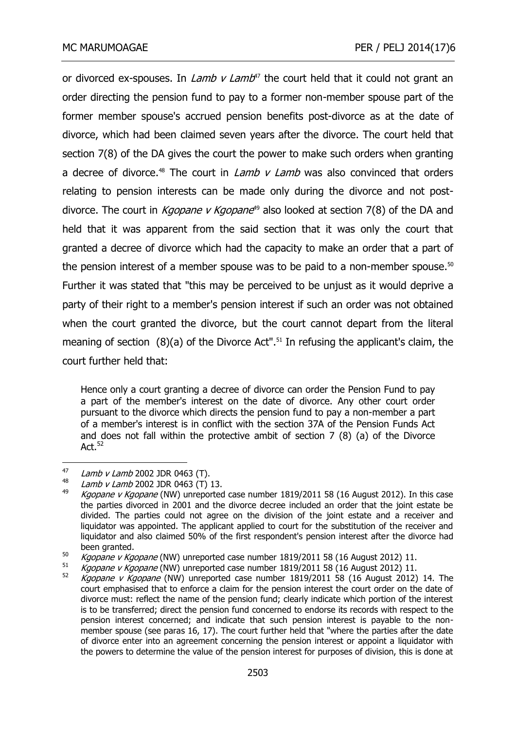or divorced ex-spouses. In *Lamb v Lamb<sup>47</sup>* the court held that it could not grant an order directing the pension fund to pay to a former non-member spouse part of the former member spouse's accrued pension benefits post-divorce as at the date of divorce, which had been claimed seven years after the divorce. The court held that section 7(8) of the DA gives the court the power to make such orders when granting a decree of divorce.<sup>48</sup> The court in *Lamb*  $v$  *Lamb* was also convinced that orders relating to pension interests can be made only during the divorce and not postdivorce. The court in *Kgopane v Kgopane*<sup>49</sup> also looked at section 7(8) of the DA and held that it was apparent from the said section that it was only the court that granted a decree of divorce which had the capacity to make an order that a part of the pension interest of a member spouse was to be paid to a non-member spouse.<sup>50</sup> Further it was stated that "this may be perceived to be unjust as it would deprive a party of their right to a member's pension interest if such an order was not obtained when the court granted the divorce, but the court cannot depart from the literal meaning of section (8)(a) of the Divorce Act". <sup>51</sup> In refusing the applicant's claim, the court further held that:

Hence only a court granting a decree of divorce can order the Pension Fund to pay a part of the member's interest on the date of divorce. Any other court order pursuant to the divorce which directs the pension fund to pay a non-member a part of a member's interest is in conflict with the section 37A of the Pension Funds Act and does not fall within the protective ambit of section 7 (8) (a) of the Divorce Act. $52$ 

<sup>47</sup> <sup>47</sup> Lamb v Lamb 2002 JDR 0463 (T).

 $^{48}$  Lamb v Lamb 2002 JDR 0463 (T) 13.

Kgopane v Kgopane (NW) unreported case number 1819/2011 58 (16 August 2012). In this case the parties divorced in 2001 and the divorce decree included an order that the joint estate be divided. The parties could not agree on the division of the joint estate and a receiver and liquidator was appointed. The applicant applied to court for the substitution of the receiver and liquidator and also claimed 50% of the first respondent's pension interest after the divorce had been granted.

 $\frac{50}{Kgopane}$  v Kgopane (NW) unreported case number 1819/2011 58 (16 August 2012) 11.

 $\frac{51}{2}$  Kgopane v Kgopane (NW) unreported case number 1819/2011 58 (16 August 2012) 11.

Kgopane v Kgopane (NW) unreported case number  $1819/2011$  58 (16 August 2012) 14. The court emphasised that to enforce a claim for the pension interest the court order on the date of divorce must: reflect the name of the pension fund; clearly indicate which portion of the interest is to be transferred; direct the pension fund concerned to endorse its records with respect to the pension interest concerned; and indicate that such pension interest is payable to the nonmember spouse (see paras 16, 17). The court further held that "where the parties after the date of divorce enter into an agreement concerning the pension interest or appoint a liquidator with the powers to determine the value of the pension interest for purposes of division, this is done at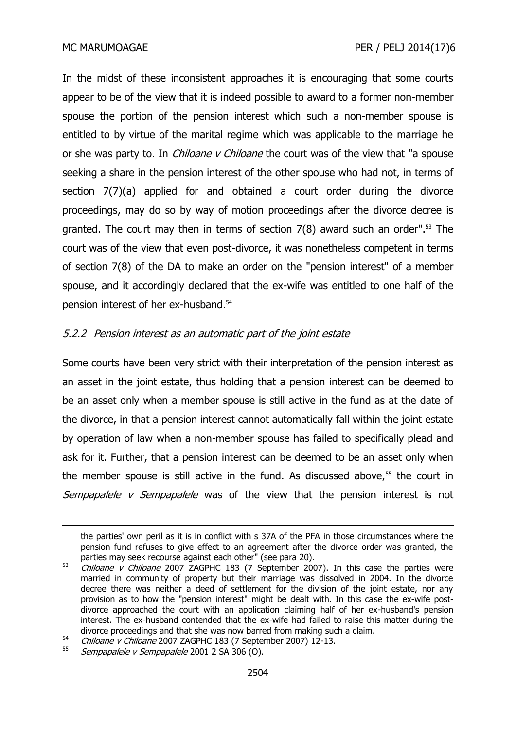In the midst of these inconsistent approaches it is encouraging that some courts appear to be of the view that it is indeed possible to award to a former non-member spouse the portion of the pension interest which such a non-member spouse is entitled to by virtue of the marital regime which was applicable to the marriage he or she was party to. In *Chiloane v Chiloane* the court was of the view that "a spouse seeking a share in the pension interest of the other spouse who had not, in terms of section 7(7)(a) applied for and obtained a court order during the divorce proceedings, may do so by way of motion proceedings after the divorce decree is granted. The court may then in terms of section 7(8) award such an order". <sup>53</sup> The court was of the view that even post-divorce, it was nonetheless competent in terms of section 7(8) of the DA to make an order on the "pension interest" of a member spouse, and it accordingly declared that the ex-wife was entitled to one half of the pension interest of her ex-husband.<sup>54</sup>

# 5.2.2 Pension interest as an automatic part of the joint estate

Some courts have been very strict with their interpretation of the pension interest as an asset in the joint estate, thus holding that a pension interest can be deemed to be an asset only when a member spouse is still active in the fund as at the date of the divorce, in that a pension interest cannot automatically fall within the joint estate by operation of law when a non-member spouse has failed to specifically plead and ask for it. Further, that a pension interest can be deemed to be an asset only when the member spouse is still active in the fund. As discussed above, $55$  the court in Sempapalele v Sempapalele was of the view that the pension interest is not

the parties' own peril as it is in conflict with s 37A of the PFA in those circumstances where the pension fund refuses to give effect to an agreement after the divorce order was granted, the parties may seek recourse against each other" (see para 20).

 $53$  *Chiloane v Chiloane* 2007 ZAGPHC 183 (7 September 2007). In this case the parties were married in community of property but their marriage was dissolved in 2004. In the divorce decree there was neither a deed of settlement for the division of the joint estate, nor any provision as to how the "pension interest" might be dealt with. In this case the ex-wife postdivorce approached the court with an application claiming half of her ex-husband's pension interest. The ex-husband contended that the ex-wife had failed to raise this matter during the divorce proceedings and that she was now barred from making such a claim.

 $54$  Chiloane v Chiloane 2007 ZAGPHC 183 (7 September 2007) 12-13.

Sempapalele v Sempapalele 2001 2 SA 306 (O).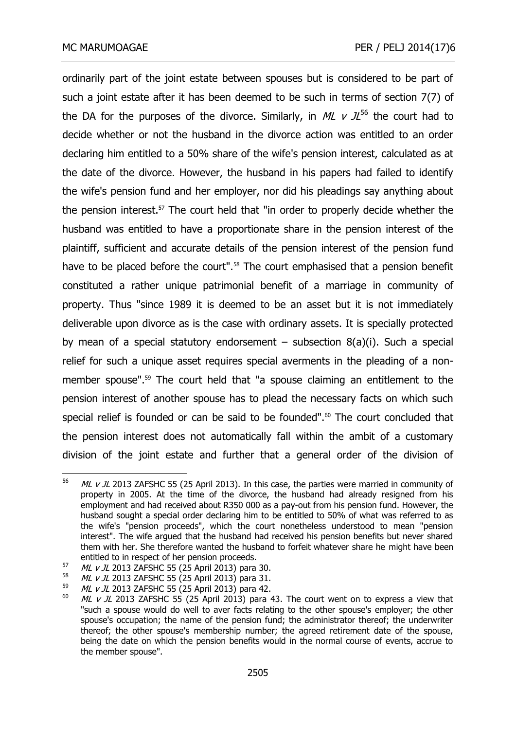ordinarily part of the joint estate between spouses but is considered to be part of such a joint estate after it has been deemed to be such in terms of section 7(7) of the DA for the purposes of the divorce. Similarly, in ML  $\vee$  JL<sup>56</sup> the court had to decide whether or not the husband in the divorce action was entitled to an order declaring him entitled to a 50% share of the wife's pension interest, calculated as at the date of the divorce. However, the husband in his papers had failed to identify the wife's pension fund and her employer, nor did his pleadings say anything about the pension interest.<sup>57</sup> The court held that "in order to properly decide whether the husband was entitled to have a proportionate share in the pension interest of the plaintiff, sufficient and accurate details of the pension interest of the pension fund have to be placed before the court". <sup>58</sup> The court emphasised that a pension benefit constituted a rather unique patrimonial benefit of a marriage in community of property. Thus "since 1989 it is deemed to be an asset but it is not immediately deliverable upon divorce as is the case with ordinary assets. It is specially protected by mean of a special statutory endorsement – subsection  $8(a)(i)$ . Such a special relief for such a unique asset requires special averments in the pleading of a nonmember spouse". <sup>59</sup> The court held that "a spouse claiming an entitlement to the pension interest of another spouse has to plead the necessary facts on which such special relief is founded or can be said to be founded". <sup>60</sup> The court concluded that the pension interest does not automatically fall within the ambit of a customary division of the joint estate and further that a general order of the division of

<sup>56</sup> ML  $v$  JL 2013 ZAFSHC 55 (25 April 2013). In this case, the parties were married in community of property in 2005. At the time of the divorce, the husband had already resigned from his employment and had received about R350 000 as a pay-out from his pension fund. However, the husband sought a special order declaring him to be entitled to 50% of what was referred to as the wife's "pension proceeds", which the court nonetheless understood to mean "pension interest". The wife argued that the husband had received his pension benefits but never shared them with her. She therefore wanted the husband to forfeit whatever share he might have been entitled to in respect of her pension proceeds.

 $57$  ML v JL 2013 ZAFSHC 55 (25 April 2013) para 30.

 $^{58}$  ML v JL 2013 ZAFSHC 55 (25 April 2013) para 31.

 $^{59}$  *ML v JL* 2013 ZAFSHC 55 (25 April 2013) para 42.<br> $^{60}$  *ML v JL* 2013 ZAESHC 55 (25 April 2013) para

ML  $v$  JL 2013 ZAFSHC 55 (25 April 2013) para 43. The court went on to express a view that "such a spouse would do well to aver facts relating to the other spouse's employer; the other spouse's occupation; the name of the pension fund; the administrator thereof; the underwriter thereof; the other spouse's membership number; the agreed retirement date of the spouse, being the date on which the pension benefits would in the normal course of events, accrue to the member spouse".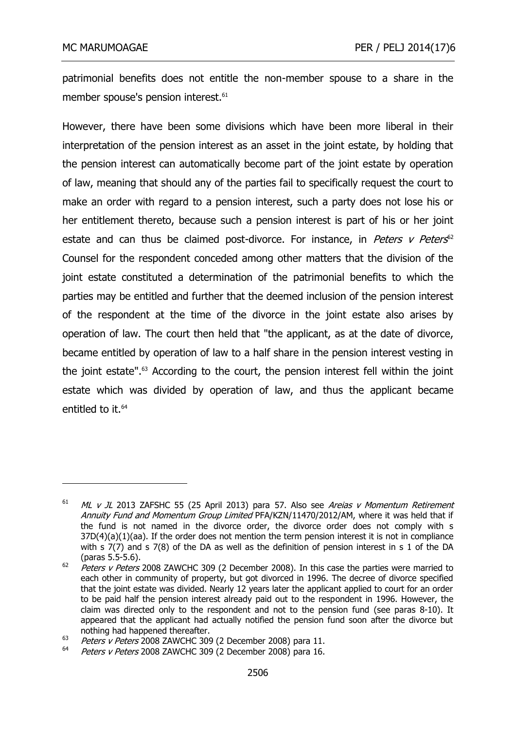-

patrimonial benefits does not entitle the non-member spouse to a share in the member spouse's pension interest.<sup>61</sup>

However, there have been some divisions which have been more liberal in their interpretation of the pension interest as an asset in the joint estate, by holding that the pension interest can automatically become part of the joint estate by operation of law, meaning that should any of the parties fail to specifically request the court to make an order with regard to a pension interest, such a party does not lose his or her entitlement thereto, because such a pension interest is part of his or her joint estate and can thus be claimed post-divorce. For instance, in *Peters v Peters<sup>62</sup>* Counsel for the respondent conceded among other matters that the division of the joint estate constituted a determination of the patrimonial benefits to which the parties may be entitled and further that the deemed inclusion of the pension interest of the respondent at the time of the divorce in the joint estate also arises by operation of law. The court then held that "the applicant, as at the date of divorce, became entitled by operation of law to a half share in the pension interest vesting in the joint estate". <sup>63</sup> According to the court, the pension interest fell within the joint estate which was divided by operation of law, and thus the applicant became entitled to it.<sup>64</sup>

 $61$  ML v JL 2013 ZAFSHC 55 (25 April 2013) para 57. Also see Areias v Momentum Retirement Annuity Fund and Momentum Group Limited PFA/KZN/11470/2012/AM, where it was held that if the fund is not named in the divorce order, the divorce order does not comply with s 37D(4)(a)(1)(aa). If the order does not mention the term pension interest it is not in compliance with s 7(7) and s 7(8) of the DA as well as the definition of pension interest in s 1 of the DA (paras 5.5-5.6).

 $62$  *Peters v Peters* 2008 ZAWCHC 309 (2 December 2008). In this case the parties were married to each other in community of property, but got divorced in 1996. The decree of divorce specified that the joint estate was divided. Nearly 12 years later the applicant applied to court for an order to be paid half the pension interest already paid out to the respondent in 1996. However, the claim was directed only to the respondent and not to the pension fund (see paras 8-10). It appeared that the applicant had actually notified the pension fund soon after the divorce but nothing had happened thereafter.

 $^{63}$  Peters v Peters 2008 ZAWCHC 309 (2 December 2008) para 11.

Peters v Peters 2008 ZAWCHC 309 (2 December 2008) para 16.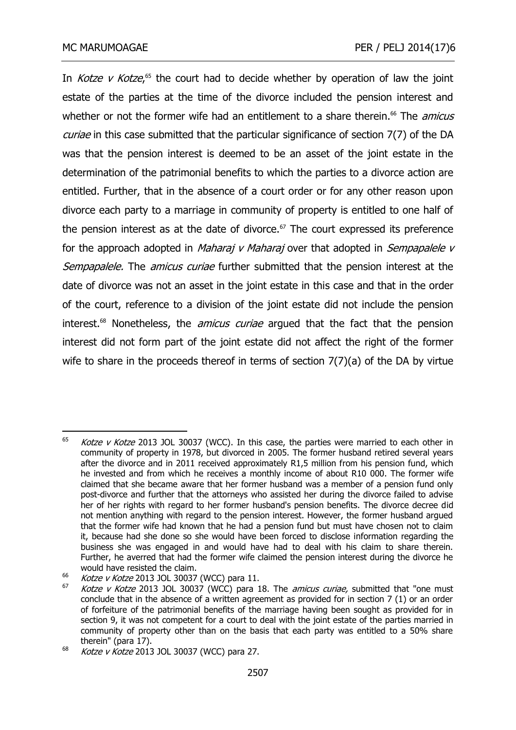In *Kotze v Kotze*,<sup>65</sup> the court had to decide whether by operation of law the joint estate of the parties at the time of the divorce included the pension interest and whether or not the former wife had an entitlement to a share therein.<sup>66</sup> The *amicus* curiae in this case submitted that the particular significance of section 7(7) of the DA was that the pension interest is deemed to be an asset of the joint estate in the determination of the patrimonial benefits to which the parties to a divorce action are entitled. Further, that in the absence of a court order or for any other reason upon divorce each party to a marriage in community of property is entitled to one half of the pension interest as at the date of divorce.<sup> $67$ </sup> The court expressed its preference for the approach adopted in *Maharaj v Maharaj* over that adopted in *Sempapalele v* Sempapalele. The amicus curiae further submitted that the pension interest at the date of divorce was not an asset in the joint estate in this case and that in the order of the court, reference to a division of the joint estate did not include the pension interest.<sup>68</sup> Nonetheless, the *amicus curiae* argued that the fact that the pension interest did not form part of the joint estate did not affect the right of the former wife to share in the proceeds thereof in terms of section 7(7)(a) of the DA by virtue

<sup>65</sup> Kotze v Kotze 2013 JOL 30037 (WCC). In this case, the parties were married to each other in community of property in 1978, but divorced in 2005. The former husband retired several years after the divorce and in 2011 received approximately R1,5 million from his pension fund, which he invested and from which he receives a monthly income of about R10 000. The former wife claimed that she became aware that her former husband was a member of a pension fund only post-divorce and further that the attorneys who assisted her during the divorce failed to advise her of her rights with regard to her former husband's pension benefits. The divorce decree did not mention anything with regard to the pension interest. However, the former husband argued that the former wife had known that he had a pension fund but must have chosen not to claim it, because had she done so she would have been forced to disclose information regarding the business she was engaged in and would have had to deal with his claim to share therein. Further, he averred that had the former wife claimed the pension interest during the divorce he would have resisted the claim.

 $\frac{66}{66}$  Kotze v Kotze 2013 JOL 30037 (WCC) para 11.

Kotze v Kotze 2013 JOL 30037 (WCC) para 18. The amicus curiae, submitted that "one must conclude that in the absence of a written agreement as provided for in section 7 (1) or an order of forfeiture of the patrimonial benefits of the marriage having been sought as provided for in section 9, it was not competent for a court to deal with the joint estate of the parties married in community of property other than on the basis that each party was entitled to a 50% share therein" (para 17).

 $68$  Kotze v Kotze 2013 JOL 30037 (WCC) para 27.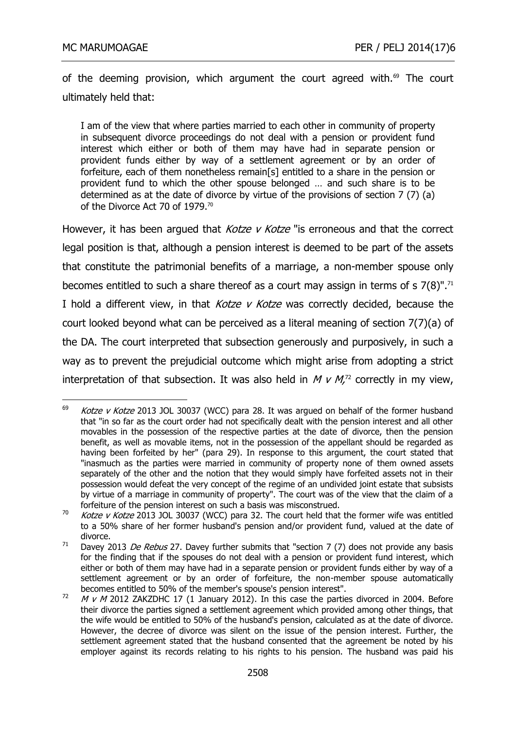of the deeming provision, which argument the court agreed with. $69$  The court ultimately held that:

I am of the view that where parties married to each other in community of property in subsequent divorce proceedings do not deal with a pension or provident fund interest which either or both of them may have had in separate pension or provident funds either by way of a settlement agreement or by an order of forfeiture, each of them nonetheless remain[s] entitled to a share in the pension or provident fund to which the other spouse belonged … and such share is to be determined as at the date of divorce by virtue of the provisions of section 7 (7) (a) of the Divorce Act 70 of 1979.<sup>70</sup>

However, it has been argued that *Kotze v Kotze* "is erroneous and that the correct legal position is that, although a pension interest is deemed to be part of the assets that constitute the patrimonial benefits of a marriage, a non-member spouse only becomes entitled to such a share thereof as a court may assign in terms of s  $7(8)$ ".<sup>71</sup> I hold a different view, in that *Kotze v Kotze* was correctly decided, because the court looked beyond what can be perceived as a literal meaning of section 7(7)(a) of the DA. The court interpreted that subsection generously and purposively, in such a way as to prevent the prejudicial outcome which might arise from adopting a strict interpretation of that subsection. It was also held in  $M \vee M$ <sup>72</sup> correctly in my view,

<sup>69</sup> Kotze v Kotze 2013 JOL 30037 (WCC) para 28. It was argued on behalf of the former husband that "in so far as the court order had not specifically dealt with the pension interest and all other movables in the possession of the respective parties at the date of divorce, then the pension benefit, as well as movable items, not in the possession of the appellant should be regarded as having been forfeited by her" (para 29). In response to this argument, the court stated that "inasmuch as the parties were married in community of property none of them owned assets separately of the other and the notion that they would simply have forfeited assets not in their possession would defeat the very concept of the regime of an undivided joint estate that subsists by virtue of a marriage in community of property". The court was of the view that the claim of a forfeiture of the pension interest on such a basis was misconstrued.

<sup>70</sup> Kotze v Kotze 2013 JOL 30037 (WCC) para 32. The court held that the former wife was entitled to a 50% share of her former husband's pension and/or provident fund, valued at the date of divorce.

<sup>&</sup>lt;sup>71</sup> Davey 2013 *De Rebus* 27. Davey further submits that "section 7 (7) does not provide any basis for the finding that if the spouses do not deal with a pension or provident fund interest, which either or both of them may have had in a separate pension or provident funds either by way of a settlement agreement or by an order of forfeiture, the non-member spouse automatically becomes entitled to 50% of the member's spouse's pension interest".

 $M$  v  $M$  2012 ZAKZDHC 17 (1 January 2012). In this case the parties divorced in 2004. Before their divorce the parties signed a settlement agreement which provided among other things, that the wife would be entitled to 50% of the husband's pension, calculated as at the date of divorce. However, the decree of divorce was silent on the issue of the pension interest. Further, the settlement agreement stated that the husband consented that the agreement be noted by his employer against its records relating to his rights to his pension. The husband was paid his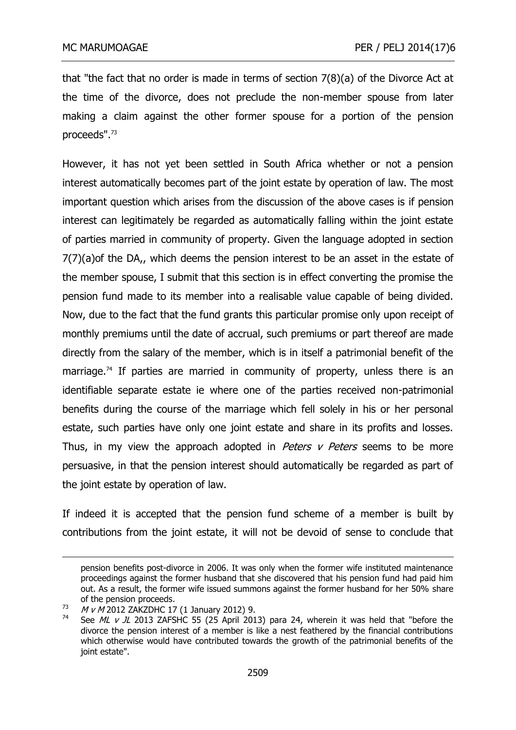that "the fact that no order is made in terms of section 7(8)(a) of the Divorce Act at the time of the divorce, does not preclude the non-member spouse from later making a claim against the other former spouse for a portion of the pension proceeds". 73

However, it has not yet been settled in South Africa whether or not a pension interest automatically becomes part of the joint estate by operation of law. The most important question which arises from the discussion of the above cases is if pension interest can legitimately be regarded as automatically falling within the joint estate of parties married in community of property. Given the language adopted in section 7(7)(a)of the DA,, which deems the pension interest to be an asset in the estate of the member spouse, I submit that this section is in effect converting the promise the pension fund made to its member into a realisable value capable of being divided. Now, due to the fact that the fund grants this particular promise only upon receipt of monthly premiums until the date of accrual, such premiums or part thereof are made directly from the salary of the member, which is in itself a patrimonial benefit of the marriage.<sup>74</sup> If parties are married in community of property, unless there is an identifiable separate estate ie where one of the parties received non-patrimonial benefits during the course of the marriage which fell solely in his or her personal estate, such parties have only one joint estate and share in its profits and losses. Thus, in my view the approach adopted in *Peters v Peters* seems to be more persuasive, in that the pension interest should automatically be regarded as part of the joint estate by operation of law.

If indeed it is accepted that the pension fund scheme of a member is built by contributions from the joint estate, it will not be devoid of sense to conclude that

pension benefits post-divorce in 2006. It was only when the former wife instituted maintenance proceedings against the former husband that she discovered that his pension fund had paid him out. As a result, the former wife issued summons against the former husband for her 50% share of the pension proceeds.

 $73$  M v M 2012 ZAKZDHC 17 (1 January 2012) 9.

See ML v JL 2013 ZAFSHC 55 (25 April 2013) para 24, wherein it was held that "before the divorce the pension interest of a member is like a nest feathered by the financial contributions which otherwise would have contributed towards the growth of the patrimonial benefits of the joint estate".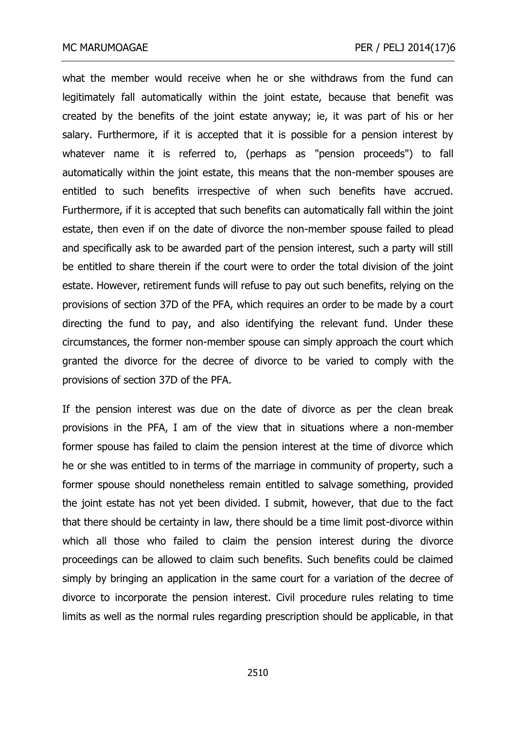what the member would receive when he or she withdraws from the fund can legitimately fall automatically within the joint estate, because that benefit was created by the benefits of the joint estate anyway; ie, it was part of his or her salary. Furthermore, if it is accepted that it is possible for a pension interest by whatever name it is referred to, (perhaps as "pension proceeds") to fall automatically within the joint estate, this means that the non-member spouses are entitled to such benefits irrespective of when such benefits have accrued. Furthermore, if it is accepted that such benefits can automatically fall within the joint estate, then even if on the date of divorce the non-member spouse failed to plead and specifically ask to be awarded part of the pension interest, such a party will still be entitled to share therein if the court were to order the total division of the joint estate. However, retirement funds will refuse to pay out such benefits, relying on the provisions of section 37D of the PFA, which requires an order to be made by a court directing the fund to pay, and also identifying the relevant fund. Under these circumstances, the former non-member spouse can simply approach the court which granted the divorce for the decree of divorce to be varied to comply with the provisions of section 37D of the PFA.

If the pension interest was due on the date of divorce as per the clean break provisions in the PFA, I am of the view that in situations where a non-member former spouse has failed to claim the pension interest at the time of divorce which he or she was entitled to in terms of the marriage in community of property, such a former spouse should nonetheless remain entitled to salvage something, provided the joint estate has not yet been divided. I submit, however, that due to the fact that there should be certainty in law, there should be a time limit post-divorce within which all those who failed to claim the pension interest during the divorce proceedings can be allowed to claim such benefits. Such benefits could be claimed simply by bringing an application in the same court for a variation of the decree of divorce to incorporate the pension interest. Civil procedure rules relating to time limits as well as the normal rules regarding prescription should be applicable, in that

2510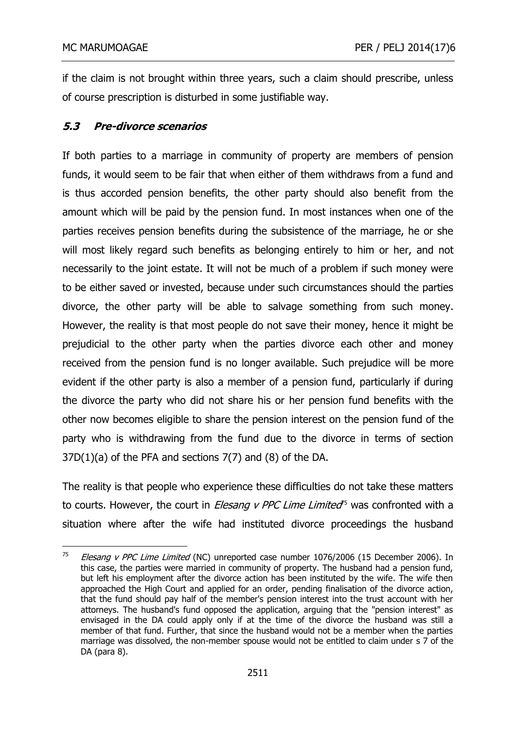if the claim is not brought within three years, such a claim should prescribe, unless of course prescription is disturbed in some justifiable way.

# **5.3 Pre-divorce scenarios**

If both parties to a marriage in community of property are members of pension funds, it would seem to be fair that when either of them withdraws from a fund and is thus accorded pension benefits, the other party should also benefit from the amount which will be paid by the pension fund. In most instances when one of the parties receives pension benefits during the subsistence of the marriage, he or she will most likely regard such benefits as belonging entirely to him or her, and not necessarily to the joint estate. It will not be much of a problem if such money were to be either saved or invested, because under such circumstances should the parties divorce, the other party will be able to salvage something from such money. However, the reality is that most people do not save their money, hence it might be prejudicial to the other party when the parties divorce each other and money received from the pension fund is no longer available. Such prejudice will be more evident if the other party is also a member of a pension fund, particularly if during the divorce the party who did not share his or her pension fund benefits with the other now becomes eligible to share the pension interest on the pension fund of the party who is withdrawing from the fund due to the divorce in terms of section  $37D(1)(a)$  of the PFA and sections  $7(7)$  and  $(8)$  of the DA.

The reality is that people who experience these difficulties do not take these matters to courts. However, the court in *Elesang v PPC Lime Limited*<sup>rs</sup> was confronted with a situation where after the wife had instituted divorce proceedings the husband

<sup>75</sup> Elesang v PPC Lime Limited (NC) unreported case number 1076/2006 (15 December 2006). In this case, the parties were married in community of property. The husband had a pension fund, but left his employment after the divorce action has been instituted by the wife. The wife then approached the High Court and applied for an order, pending finalisation of the divorce action, that the fund should pay half of the member's pension interest into the trust account with her attorneys. The husband's fund opposed the application, arguing that the "pension interest" as envisaged in the DA could apply only if at the time of the divorce the husband was still a member of that fund. Further, that since the husband would not be a member when the parties marriage was dissolved, the non-member spouse would not be entitled to claim under s 7 of the DA (para 8).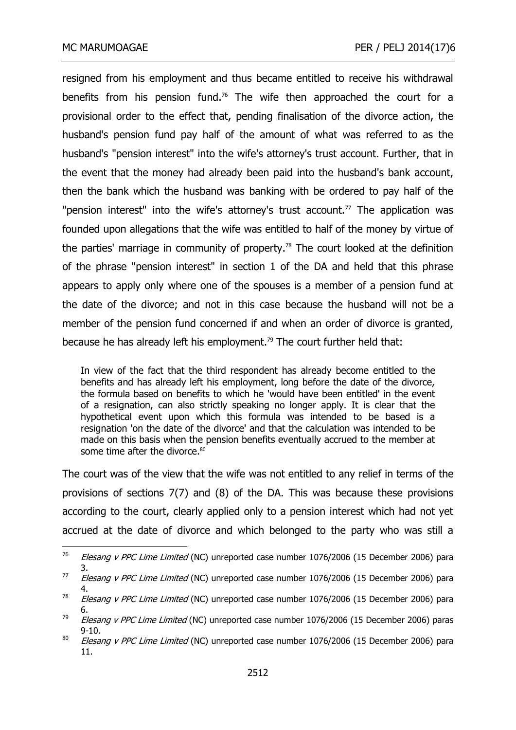resigned from his employment and thus became entitled to receive his withdrawal benefits from his pension fund.<sup>76</sup> The wife then approached the court for a provisional order to the effect that, pending finalisation of the divorce action, the husband's pension fund pay half of the amount of what was referred to as the husband's "pension interest" into the wife's attorney's trust account. Further, that in the event that the money had already been paid into the husband's bank account, then the bank which the husband was banking with be ordered to pay half of the "pension interest" into the wife's attorney's trust account.<sup>77</sup> The application was founded upon allegations that the wife was entitled to half of the money by virtue of the parties' marriage in community of property.<sup>78</sup> The court looked at the definition of the phrase "pension interest" in section 1 of the DA and held that this phrase appears to apply only where one of the spouses is a member of a pension fund at the date of the divorce; and not in this case because the husband will not be a member of the pension fund concerned if and when an order of divorce is granted, because he has already left his employment.<sup>79</sup> The court further held that:

In view of the fact that the third respondent has already become entitled to the benefits and has already left his employment, long before the date of the divorce, the formula based on benefits to which he 'would have been entitled' in the event of a resignation, can also strictly speaking no longer apply. It is clear that the hypothetical event upon which this formula was intended to be based is a resignation 'on the date of the divorce' and that the calculation was intended to be made on this basis when the pension benefits eventually accrued to the member at some time after the divorce.<sup>80</sup>

The court was of the view that the wife was not entitled to any relief in terms of the provisions of sections 7(7) and (8) of the DA. This was because these provisions according to the court, clearly applied only to a pension interest which had not yet accrued at the date of divorce and which belonged to the party who was still a

<sup>76</sup> Elesang v PPC Lime Limited (NC) unreported case number 1076/2006 (15 December 2006) para 3.

 $177$  Elesang v PPC Lime Limited (NC) unreported case number 1076/2006 (15 December 2006) para 4.

<sup>&</sup>lt;sup>78</sup> Elesang v PPC Lime Limited (NC) unreported case number 1076/2006 (15 December 2006) para 6.

 $79$  Elesang v PPC Lime Limited (NC) unreported case number 1076/2006 (15 December 2006) paras 9-10.

 $80$  *Elesang v PPC Lime Limited* (NC) unreported case number 1076/2006 (15 December 2006) para 11.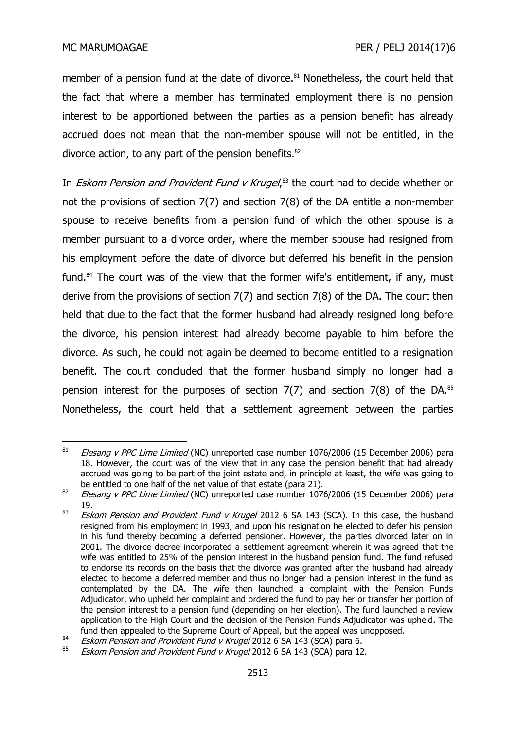member of a pension fund at the date of divorce.<sup>81</sup> Nonetheless, the court held that the fact that where a member has terminated employment there is no pension interest to be apportioned between the parties as a pension benefit has already accrued does not mean that the non-member spouse will not be entitled, in the divorce action, to any part of the pension benefits.<sup>82</sup>

In *Eskom Pension and Provident Fund v Krugel*,<sup>83</sup> the court had to decide whether or not the provisions of section 7(7) and section 7(8) of the DA entitle a non-member spouse to receive benefits from a pension fund of which the other spouse is a member pursuant to a divorce order, where the member spouse had resigned from his employment before the date of divorce but deferred his benefit in the pension fund.<sup>84</sup> The court was of the view that the former wife's entitlement, if any, must derive from the provisions of section 7(7) and section 7(8) of the DA. The court then held that due to the fact that the former husband had already resigned long before the divorce, his pension interest had already become payable to him before the divorce. As such, he could not again be deemed to become entitled to a resignation benefit. The court concluded that the former husband simply no longer had a pension interest for the purposes of section  $7(7)$  and section  $7(8)$  of the DA.<sup>85</sup> Nonetheless, the court held that a settlement agreement between the parties

<sup>81</sup> Elesang v PPC Lime Limited (NC) unreported case number 1076/2006 (15 December 2006) para 18. However, the court was of the view that in any case the pension benefit that had already accrued was going to be part of the joint estate and, in principle at least, the wife was going to be entitled to one half of the net value of that estate (para 21).

<sup>82</sup> Elesang v PPC Lime Limited (NC) unreported case number 1076/2006 (15 December 2006) para 19.

<sup>&</sup>lt;sup>83</sup> Eskom Pension and Provident Fund v Krugel 2012 6 SA 143 (SCA). In this case, the husband resigned from his employment in 1993, and upon his resignation he elected to defer his pension in his fund thereby becoming a deferred pensioner. However, the parties divorced later on in 2001. The divorce decree incorporated a settlement agreement wherein it was agreed that the wife was entitled to 25% of the pension interest in the husband pension fund. The fund refused to endorse its records on the basis that the divorce was granted after the husband had already elected to become a deferred member and thus no longer had a pension interest in the fund as contemplated by the DA. The wife then launched a complaint with the Pension Funds Adjudicator, who upheld her complaint and ordered the fund to pay her or transfer her portion of the pension interest to a pension fund (depending on her election). The fund launched a review application to the High Court and the decision of the Pension Funds Adjudicator was upheld. The fund then appealed to the Supreme Court of Appeal, but the appeal was unopposed.

<sup>84</sup> Eskom Pension and Provident Fund v Krugel 2012 6 SA 143 (SCA) para 6.

Eskom Pension and Provident Fund v Krugel 2012 6 SA 143 (SCA) para 12.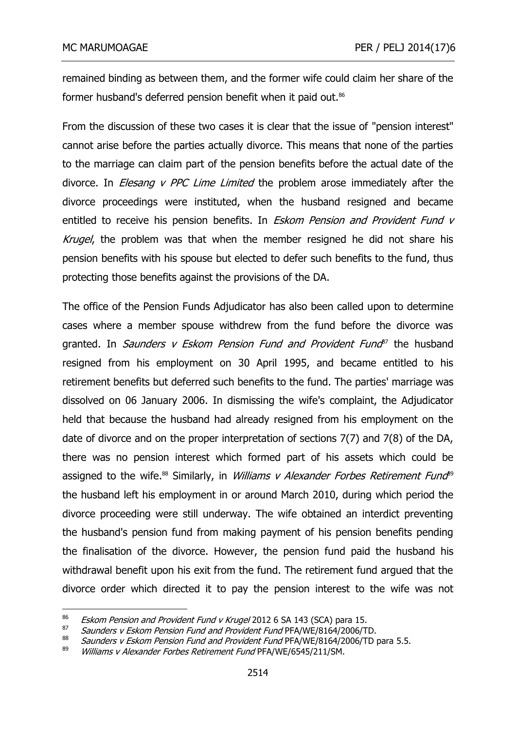remained binding as between them, and the former wife could claim her share of the former husband's deferred pension benefit when it paid out.<sup>86</sup>

From the discussion of these two cases it is clear that the issue of "pension interest" cannot arise before the parties actually divorce. This means that none of the parties to the marriage can claim part of the pension benefits before the actual date of the divorce. In *Elesang v PPC Lime Limited* the problem arose immediately after the divorce proceedings were instituted, when the husband resigned and became entitled to receive his pension benefits. In *Eskom Pension and Provident Fund v* Krugel, the problem was that when the member resigned he did not share his pension benefits with his spouse but elected to defer such benefits to the fund, thus protecting those benefits against the provisions of the DA.

The office of the Pension Funds Adjudicator has also been called upon to determine cases where a member spouse withdrew from the fund before the divorce was granted. In *Saunders v Eskom Pension Fund and Provident Fund*<sup>87</sup> the husband resigned from his employment on 30 April 1995, and became entitled to his retirement benefits but deferred such benefits to the fund. The parties' marriage was dissolved on 06 January 2006. In dismissing the wife's complaint, the Adjudicator held that because the husband had already resigned from his employment on the date of divorce and on the proper interpretation of sections 7(7) and 7(8) of the DA, there was no pension interest which formed part of his assets which could be assigned to the wife.<sup>88</sup> Similarly, in *Williams v Alexander Forbes Retirement Fund*<sup>89</sup> the husband left his employment in or around March 2010, during which period the divorce proceeding were still underway. The wife obtained an interdict preventing the husband's pension fund from making payment of his pension benefits pending the finalisation of the divorce. However, the pension fund paid the husband his withdrawal benefit upon his exit from the fund. The retirement fund argued that the divorce order which directed it to pay the pension interest to the wife was not

<sup>86</sup> Eskom Pension and Provident Fund v Krugel 2012 6 SA 143 (SCA) para 15.

<sup>87</sup> Saunders v Eskom Pension Fund and Provident Fund PFA/WE/8164/2006/TD.

<sup>88</sup> Saunders v Eskom Pension Fund and Provident Fund PFA/WE/8164/2006/TD para 5.5.

Williams v Alexander Forbes Retirement Fund PFA/WE/6545/211/SM.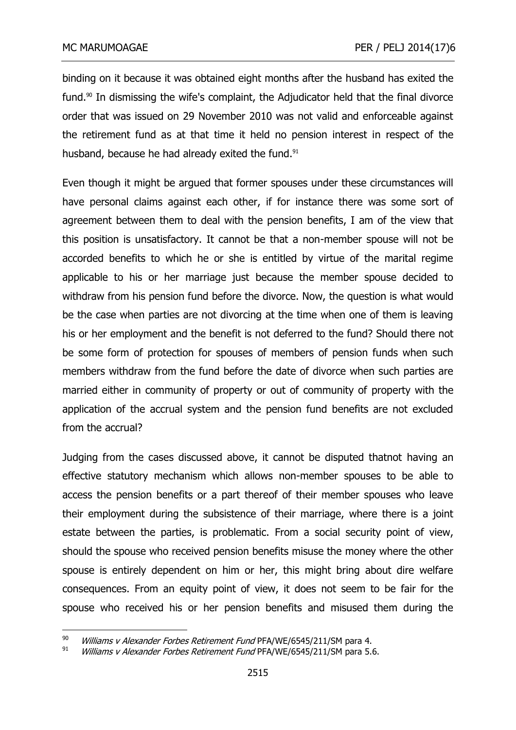binding on it because it was obtained eight months after the husband has exited the fund.<sup>90</sup> In dismissing the wife's complaint, the Adjudicator held that the final divorce order that was issued on 29 November 2010 was not valid and enforceable against the retirement fund as at that time it held no pension interest in respect of the husband, because he had already exited the fund.<sup>91</sup>

Even though it might be argued that former spouses under these circumstances will have personal claims against each other, if for instance there was some sort of agreement between them to deal with the pension benefits, I am of the view that this position is unsatisfactory. It cannot be that a non-member spouse will not be accorded benefits to which he or she is entitled by virtue of the marital regime applicable to his or her marriage just because the member spouse decided to withdraw from his pension fund before the divorce. Now, the question is what would be the case when parties are not divorcing at the time when one of them is leaving his or her employment and the benefit is not deferred to the fund? Should there not be some form of protection for spouses of members of pension funds when such members withdraw from the fund before the date of divorce when such parties are married either in community of property or out of community of property with the application of the accrual system and the pension fund benefits are not excluded from the accrual?

Judging from the cases discussed above, it cannot be disputed thatnot having an effective statutory mechanism which allows non-member spouses to be able to access the pension benefits or a part thereof of their member spouses who leave their employment during the subsistence of their marriage, where there is a joint estate between the parties, is problematic. From a social security point of view, should the spouse who received pension benefits misuse the money where the other spouse is entirely dependent on him or her, this might bring about dire welfare consequences. From an equity point of view, it does not seem to be fair for the spouse who received his or her pension benefits and misused them during the

<sup>&</sup>lt;sup>90</sup> Williams v Alexander Forbes Retirement Fund PFA/WE/6545/211/SM para 4.<br><sup>91</sup> Williams v Alexander Forbes Retirement Fund PFA (MEJGE45/311/SM para 5.4

Williams v Alexander Forbes Retirement Fund PFA/WE/6545/211/SM para 5.6.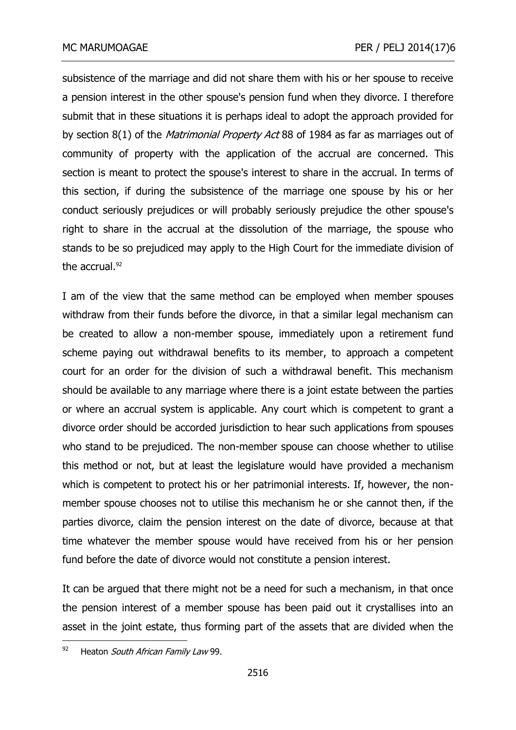subsistence of the marriage and did not share them with his or her spouse to receive a pension interest in the other spouse's pension fund when they divorce. I therefore submit that in these situations it is perhaps ideal to adopt the approach provided for by section 8(1) of the *Matrimonial Property Act* 88 of 1984 as far as marriages out of community of property with the application of the accrual are concerned. This section is meant to protect the spouse's interest to share in the accrual. In terms of this section, if during the subsistence of the marriage one spouse by his or her conduct seriously prejudices or will probably seriously prejudice the other spouse's right to share in the accrual at the dissolution of the marriage, the spouse who stands to be so prejudiced may apply to the High Court for the immediate division of the accrual. $92$ 

I am of the view that the same method can be employed when member spouses withdraw from their funds before the divorce, in that a similar legal mechanism can be created to allow a non-member spouse, immediately upon a retirement fund scheme paying out withdrawal benefits to its member, to approach a competent court for an order for the division of such a withdrawal benefit. This mechanism should be available to any marriage where there is a joint estate between the parties or where an accrual system is applicable. Any court which is competent to grant a divorce order should be accorded jurisdiction to hear such applications from spouses who stand to be prejudiced. The non-member spouse can choose whether to utilise this method or not, but at least the legislature would have provided a mechanism which is competent to protect his or her patrimonial interests. If, however, the nonmember spouse chooses not to utilise this mechanism he or she cannot then, if the parties divorce, claim the pension interest on the date of divorce, because at that time whatever the member spouse would have received from his or her pension fund before the date of divorce would not constitute a pension interest.

It can be argued that there might not be a need for such a mechanism, in that once the pension interest of a member spouse has been paid out it crystallises into an asset in the joint estate, thus forming part of the assets that are divided when the

<sup>92</sup> Heaton South African Family Law 99.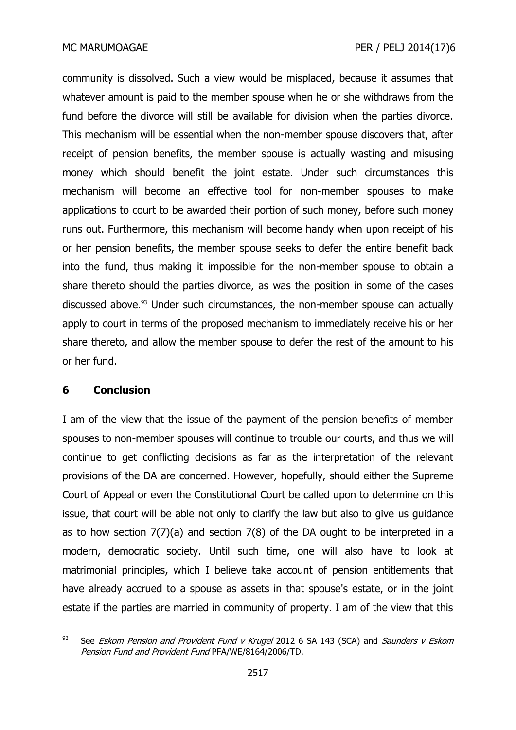community is dissolved. Such a view would be misplaced, because it assumes that whatever amount is paid to the member spouse when he or she withdraws from the fund before the divorce will still be available for division when the parties divorce. This mechanism will be essential when the non-member spouse discovers that, after receipt of pension benefits, the member spouse is actually wasting and misusing money which should benefit the joint estate. Under such circumstances this mechanism will become an effective tool for non-member spouses to make applications to court to be awarded their portion of such money, before such money runs out. Furthermore, this mechanism will become handy when upon receipt of his or her pension benefits, the member spouse seeks to defer the entire benefit back into the fund, thus making it impossible for the non-member spouse to obtain a share thereto should the parties divorce, as was the position in some of the cases discussed above.<sup>93</sup> Under such circumstances, the non-member spouse can actually apply to court in terms of the proposed mechanism to immediately receive his or her share thereto, and allow the member spouse to defer the rest of the amount to his or her fund.

# **6 Conclusion**

I am of the view that the issue of the payment of the pension benefits of member spouses to non-member spouses will continue to trouble our courts, and thus we will continue to get conflicting decisions as far as the interpretation of the relevant provisions of the DA are concerned. However, hopefully, should either the Supreme Court of Appeal or even the Constitutional Court be called upon to determine on this issue, that court will be able not only to clarify the law but also to give us guidance as to how section 7(7)(a) and section 7(8) of the DA ought to be interpreted in a modern, democratic society. Until such time, one will also have to look at matrimonial principles, which I believe take account of pension entitlements that have already accrued to a spouse as assets in that spouse's estate, or in the joint estate if the parties are married in community of property. I am of the view that this

<sup>-</sup><sup>93</sup> See *Eskom Pension and Provident Fund v Krugel* 2012 6 SA 143 (SCA) and *Saunders v Eskom* Pension Fund and Provident Fund PFA/WE/8164/2006/TD.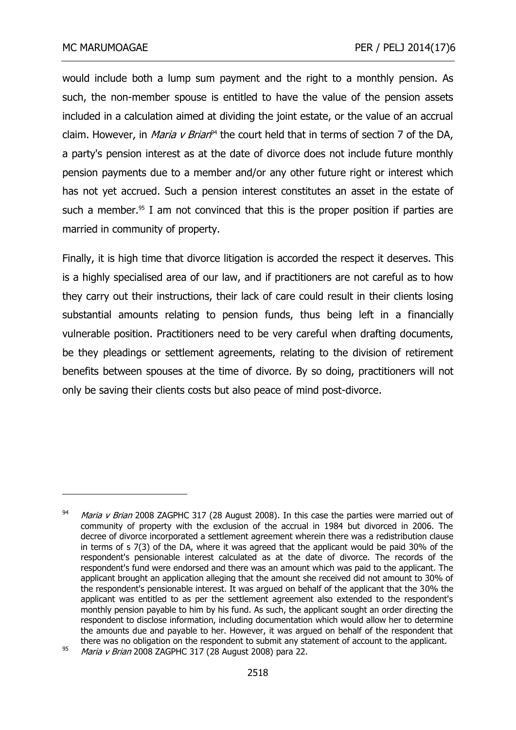-

would include both a lump sum payment and the right to a monthly pension. As such, the non-member spouse is entitled to have the value of the pension assets included in a calculation aimed at dividing the joint estate, or the value of an accrual claim. However, in *Maria v Brian*<sup>94</sup> the court held that in terms of section 7 of the DA, a party's pension interest as at the date of divorce does not include future monthly pension payments due to a member and/or any other future right or interest which has not yet accrued. Such a pension interest constitutes an asset in the estate of such a member.<sup>95</sup> I am not convinced that this is the proper position if parties are married in community of property.

Finally, it is high time that divorce litigation is accorded the respect it deserves. This is a highly specialised area of our law, and if practitioners are not careful as to how they carry out their instructions, their lack of care could result in their clients losing substantial amounts relating to pension funds, thus being left in a financially vulnerable position. Practitioners need to be very careful when drafting documents, be they pleadings or settlement agreements, relating to the division of retirement benefits between spouses at the time of divorce. By so doing, practitioners will not only be saving their clients costs but also peace of mind post-divorce.

 $94$  *Maria v Brian* 2008 ZAGPHC 317 (28 August 2008). In this case the parties were married out of community of property with the exclusion of the accrual in 1984 but divorced in 2006. The decree of divorce incorporated a settlement agreement wherein there was a redistribution clause in terms of s 7(3) of the DA, where it was agreed that the applicant would be paid 30% of the respondent's pensionable interest calculated as at the date of divorce. The records of the respondent's fund were endorsed and there was an amount which was paid to the applicant. The applicant brought an application alleging that the amount she received did not amount to 30% of the respondent's pensionable interest. It was argued on behalf of the applicant that the 30% the applicant was entitled to as per the settlement agreement also extended to the respondent's monthly pension payable to him by his fund. As such, the applicant sought an order directing the respondent to disclose information, including documentation which would allow her to determine the amounts due and payable to her. However, it was argued on behalf of the respondent that there was no obligation on the respondent to submit any statement of account to the applicant.

<sup>&</sup>lt;sup>95</sup> Maria v Brian 2008 ZAGPHC 317 (28 August 2008) para 22.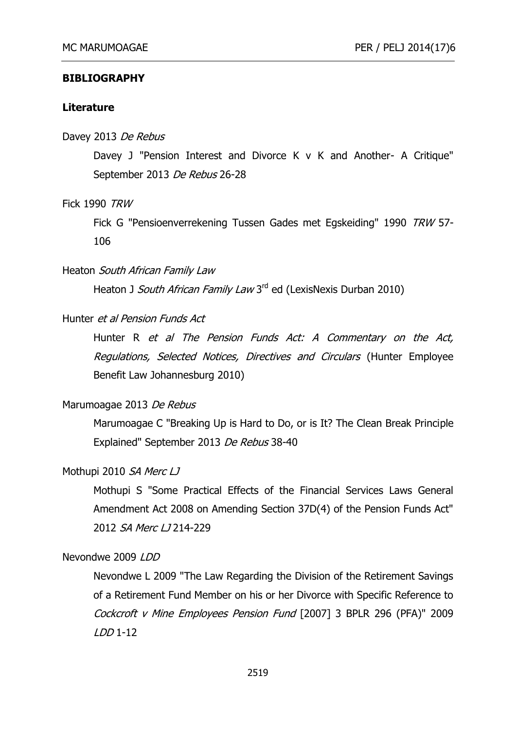#### **BIBLIOGRAPHY**

#### **Literature**

#### Davey 2013 De Rebus

Davey J "Pension Interest and Divorce K v K and Another- A Critique" September 2013 De Rebus 26-28

Fick 1990 TRW

Fick G "Pensioenverrekening Tussen Gades met Egskeiding" 1990 TRW 57- 106

#### Heaton South African Family Law

Heaton J *South African Family Law* 3<sup>rd</sup> ed (LexisNexis Durban 2010)

### Hunter et al Pension Funds Act

Hunter R et al The Pension Funds Act: A Commentary on the Act, Regulations, Selected Notices, Directives and Circulars (Hunter Employee Benefit Law Johannesburg 2010)

#### Marumoagae 2013 De Rebus

Marumoagae C "Breaking Up is Hard to Do, or is It? The Clean Break Principle Explained" September 2013 De Rebus 38-40

#### Mothupi 2010 SA Merc LJ

Mothupi S "Some Practical Effects of the Financial Services Laws General Amendment Act 2008 on Amending Section 37D(4) of the Pension Funds Act" 2012 SA Merc LJ 214-229

Nevondwe 2009 LDD

Nevondwe L 2009 "The Law Regarding the Division of the Retirement Savings of a Retirement Fund Member on his or her Divorce with Specific Reference to Cockcroft v Mine Employees Pension Fund [2007] 3 BPLR 296 (PFA)" 2009  $LDD 1-12$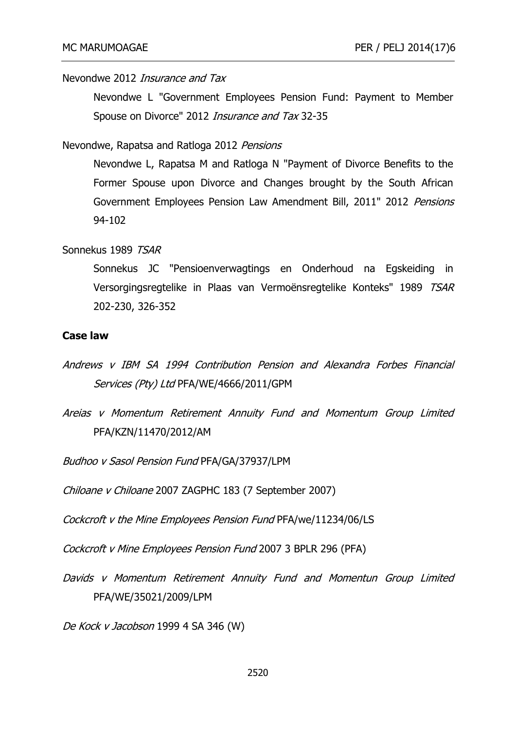Nevondwe 2012 Insurance and Tax

Nevondwe L "Government Employees Pension Fund: Payment to Member Spouse on Divorce" 2012 *Insurance and Tax* 32-35

Nevondwe, Rapatsa and Ratloga 2012 Pensions

Nevondwe L, Rapatsa M and Ratloga N "Payment of Divorce Benefits to the Former Spouse upon Divorce and Changes brought by the South African Government Employees Pension Law Amendment Bill, 2011" 2012 Pensions 94-102

#### Sonnekus 1989 TSAR

Sonnekus JC "Pensioenverwagtings en Onderhoud na Egskeiding in Versorgingsregtelike in Plaas van Vermoënsregtelike Konteks" 1989 TSAR 202-230, 326-352

### **Case law**

- Andrews v IBM SA 1994 Contribution Pension and Alexandra Forbes Financial Services (Pty) Ltd PFA/WE/4666/2011/GPM
- Areias v Momentum Retirement Annuity Fund and Momentum Group Limited PFA/KZN/11470/2012/AM

Budhoo v Sasol Pension Fund PFA/GA/37937/LPM

Chiloane v Chiloane 2007 ZAGPHC 183 (7 September 2007)

Cockcroft v the Mine Employees Pension Fund PFA/we/11234/06/LS

Cockcroft v Mine Employees Pension Fund 2007 3 BPLR 296 (PFA)

Davids v Momentum Retirement Annuity Fund and Momentun Group Limited PFA/WE/35021/2009/LPM

De Kock v Jacobson 1999 4 SA 346 (W)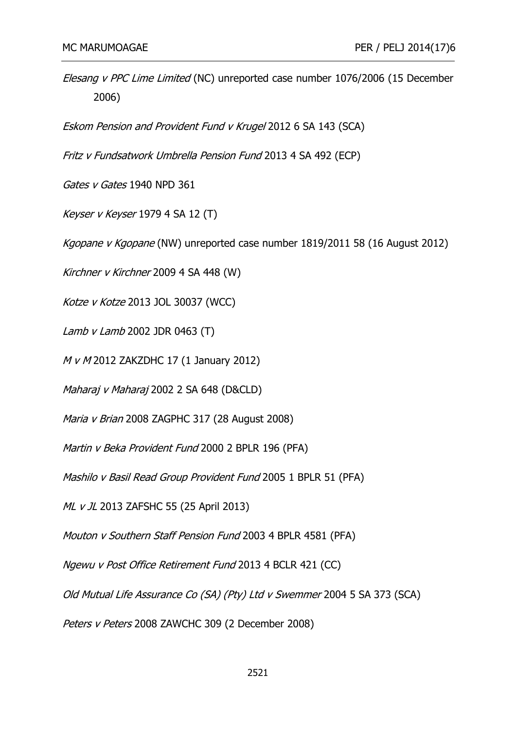Elesang v PPC Lime Limited (NC) unreported case number 1076/2006 (15 December 2006)

Eskom Pension and Provident Fund v Krugel 2012 6 SA 143 (SCA)

Fritz v Fundsatwork Umbrella Pension Fund 2013 4 SA 492 (ECP)

Gates v Gates 1940 NPD 361

Keyser v Keyser 1979 4 SA 12 (T)

Kgopane v Kgopane (NW) unreported case number 1819/2011 58 (16 August 2012)

Kirchner v Kirchner 2009 4 SA 448 (W)

Kotze v Kotze 2013 JOL 30037 (WCC)

Lamb v Lamb 2002 JDR 0463 (T)

M v M 2012 ZAKZDHC 17 (1 January 2012)

Maharaj v Maharaj 2002 2 SA 648 (D&CLD)

Maria v Brian 2008 ZAGPHC 317 (28 August 2008)

Martin v Beka Provident Fund 2000 2 BPLR 196 (PFA)

Mashilo v Basil Read Group Provident Fund 2005 1 BPLR 51 (PFA)

ML v JL 2013 ZAFSHC 55 (25 April 2013)

Mouton v Southern Staff Pension Fund 2003 4 BPLR 4581 (PFA)

Ngewu v Post Office Retirement Fund 2013 4 BCLR 421 (CC)

Old Mutual Life Assurance Co (SA) (Pty) Ltd v Swemmer 2004 5 SA 373 (SCA)

Peters v Peters 2008 ZAWCHC 309 (2 December 2008)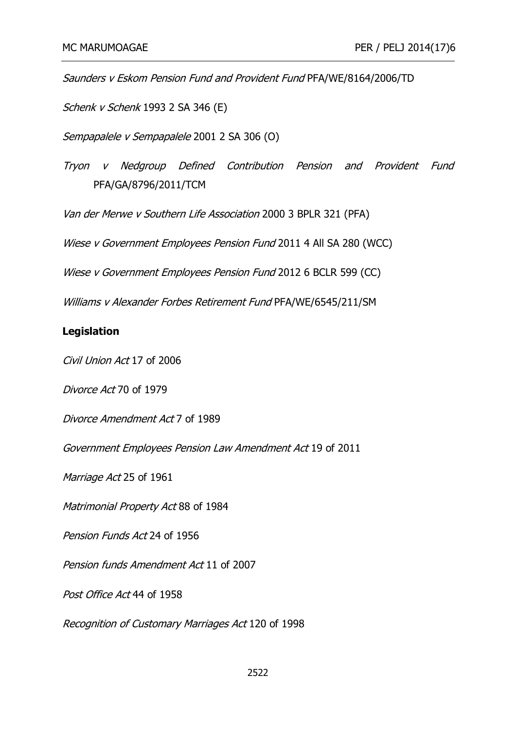Saunders v Eskom Pension Fund and Provident Fund PFA/WE/8164/2006/TD

Schenk v Schenk 1993 2 SA 346 (E)

Sempapalele v Sempapalele 2001 2 SA 306 (O)

Tryon v Nedgroup Defined Contribution Pension and Provident Fund PFA/GA/8796/2011/TCM

Van der Merwe v Southern Life Association 2000 3 BPLR 321 (PFA)

Wiese v Government Employees Pension Fund 2011 4 All SA 280 (WCC)

Wiese v Government Employees Pension Fund 2012 6 BCLR 599 (CC)

Williams v Alexander Forbes Retirement Fund PFA/WE/6545/211/SM

#### **Legislation**

Civil Union Act 17 of 2006

Divorce Act 70 of 1979

[Divorce Amendment Act](http://www.concerningdivorce.com/divorce-amendment-act-7-of-1989-todays-trustee-statutory-frameword-of-retirement-funds.html) 7 of 1989

Government Employees Pension Law Amendment Act 19 of 2011

Marriage Act 25 of 1961

Matrimonial Property Act 88 of 1984

Pension Funds Act 24 of 1956

Pension funds Amendment Act 11 of 2007

Post Office Act 44 of 1958

Recognition of Customary Marriages Act 120 of 1998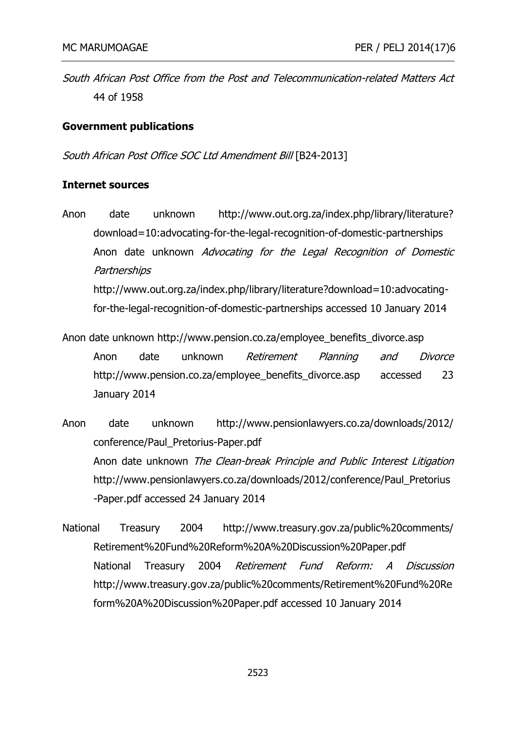South African Post Office from the Post and Telecommunication-related Matters Act 44 of 1958

## **Government publications**

South African Post Office SOC Ltd Amendment Bill [B24-2013]

### **Internet sources**

- Anon date unknown http://www.out.org.za/index.php/library/literature? download=10:advocating-for-the-legal-recognition-of-domestic-partnerships Anon date unknown Advocating for the Legal Recognition of Domestic **Partnerships** [http://www.out.org.za/index.php/library/literature?download=10:advocating](http://www.out.org.za/index.php/library/literature?download=10:advocating-for-the-legal-recognition-of-domestic-partnerships)[for-the-legal-recognition-of-domestic-partnerships](http://www.out.org.za/index.php/library/literature?download=10:advocating-for-the-legal-recognition-of-domestic-partnerships) accessed 10 January 2014
- Anon date unknown http://www.pension.co.za/employee\_benefits\_divorce.asp Anon date unknown Retirement Planning and Divorce http://www.pension.co.za/employee\_benefits\_divorce.asp accessed 23 January 2014
- Anon date unknown http://www.pensionlawyers.co.za/downloads/2012/ conference/Paul\_Pretorius-Paper.pdf Anon date unknown The Clean-break Principle and Public Interest Litigation http://www.pensionlawyers.co.za/downloads/2012/conference/Paul\_Pretorius -Paper.pdf accessed 24 January 2014
- National Treasury 2004 http://www.treasury.gov.za/public%20comments/ Retirement%20Fund%20Reform%20A%20Discussion%20Paper.pdf National Treasury 2004 Retirement Fund Reform: A Discussion http://www.treasury.gov.za/public%20comments/Retirement%20Fund%20Re form%20A%20Discussion%20Paper.pdf accessed 10 January 2014